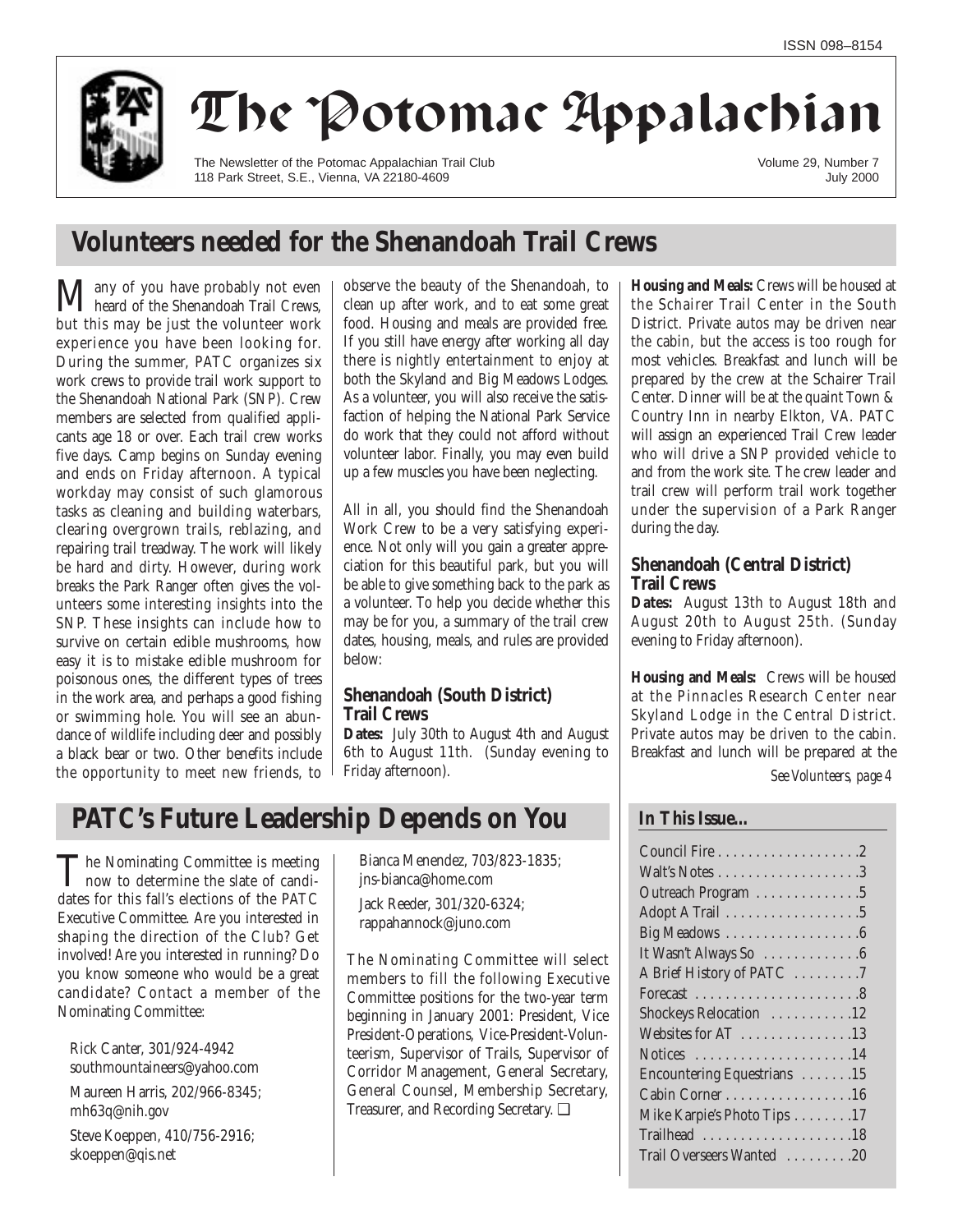

# The Potomac Appalachian

The Newsletter of the Potomac Appalachian Trail Club 118 Park Street, S.E., Vienna, VA 22180-4609

Volume 29, Number 7 July 2000

## **Volunteers needed for the Shenandoah Trail Crews**

Many of you have probably not even heard of the Shenandoah Trail Crews, but this may be just the volunteer work experience you have been looking for. During the summer, PATC organizes six work crews to provide trail work support to the Shenandoah National Park (SNP). Crew members are selected from qualified applicants age 18 or over. Each trail crew works five days. Camp begins on Sunday evening and ends on Friday afternoon. A typical workday may consist of such glamorous tasks as cleaning and building waterbars, clearing overgrown trails, reblazing, and repairing trail treadway. The work will likely be hard and dirty. However, during work breaks the Park Ranger often gives the volunteers some interesting insights into the SNP. These insights can include how to survive on certain edible mushrooms, how easy it is to mistake edible mushroom for poisonous ones, the different types of trees in the work area, and perhaps a good fishing or swimming hole. You will see an abundance of wildlife including deer and possibly a black bear or two. Other benefits include the opportunity to meet new friends, to

observe the beauty of the Shenandoah, to clean up after work, and to eat some great food. Housing and meals are provided free. If you still have energy after working all day there is nightly entertainment to enjoy at both the Skyland and Big Meadows Lodges. As a volunteer, you will also receive the satisfaction of helping the National Park Service do work that they could not afford without volunteer labor. Finally, you may even build up a few muscles you have been neglecting.

All in all, you should find the Shenandoah Work Crew to be a very satisfying experience. Not only will you gain a greater appreciation for this beautiful park, but you will be able to give something back to the park as a volunteer. To help you decide whether this may be for you, a summary of the trail crew dates, housing, meals, and rules are provided below:

### **Shenandoah (South District) Trail Crews**

**Dates:** July 30th to August 4th and August 6th to August 11th. (Sunday evening to Friday afternoon).

## **PATC's Future Leadership Depends on You**

The Nominating Committee is meeting<br>now to determine the slate of candi-<br>data for this fall's alations of the DATG dates for this fall's elections of the PATC Executive Committee. Are you interested in shaping the direction of the Club? Get involved! Are you interested in running? Do you know someone who would be a great candidate? Contact a member of the Nominating Committee:

Rick Canter, 301/924-4942 southmountaineers@yahoo.com

Maureen Harris, 202/966-8345; mh63q@nih.gov Steve Koeppen, 410/756-2916; skoeppen@qis.net

Bianca Menendez, 703/823-1835; jns-bianca@home.com

Jack Reeder, 301/320-6324; rappahannock@juno.com

The Nominating Committee will select members to fill the following Executive Committee positions for the two-year term beginning in January 2001: President, Vice President-Operations, Vice-President-Volunteerism, Supervisor of Trails, Supervisor of Corridor Management, General Secretary, General Counsel, Membership Secretary, Treasurer, and Recording Secretary. ❑

**Housing and Meals:** Crews will be housed at the Schairer Trail Center in the South District. Private autos may be driven near the cabin, but the access is too rough for most vehicles. Breakfast and lunch will be prepared by the crew at the Schairer Trail Center. Dinner will be at the quaint Town & Country Inn in nearby Elkton, VA. PATC will assign an experienced Trail Crew leader who will drive a SNP provided vehicle to and from the work site. The crew leader and trail crew will perform trail work together under the supervision of a Park Ranger during the day.

### **Shenandoah (Central District) Trail Crews**

**Dates:** August 13th to August 18th and August 20th to August 25th. (Sunday evening to Friday afternoon).

**Housing and Meals:** Crews will be housed at the Pinnacles Research Center near Skyland Lodge in the Central District. Private autos may be driven to the cabin. Breakfast and lunch will be prepared at the *See Volunteers, page 4*

### **In This Issue…**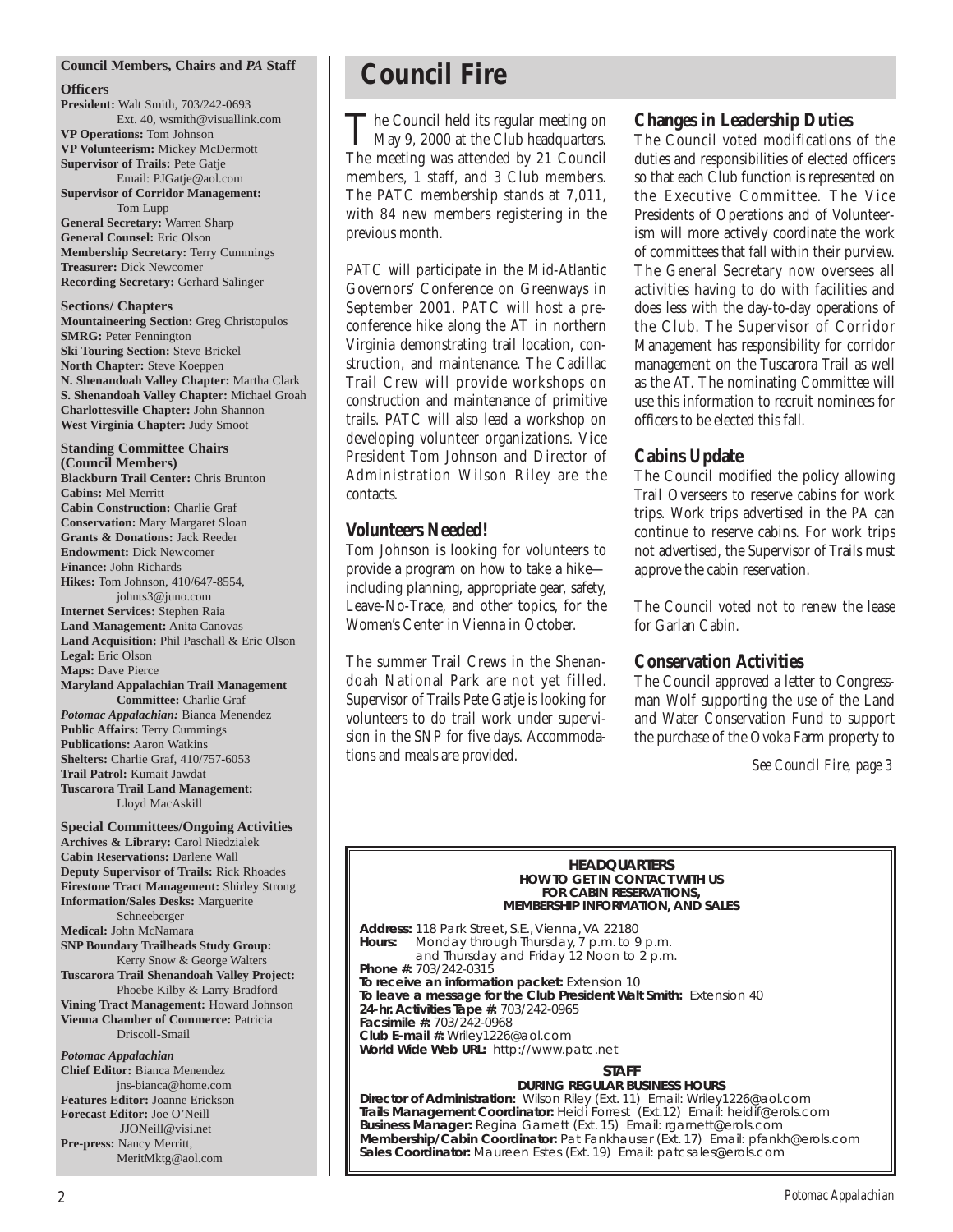#### **Council Members, Chairs and** *PA* **Staff**

#### **Officers**

**President:** Walt Smith, 703/242-0693 Ext. 40, wsmith@visuallink.com **VP Operations:** Tom Johnson **VP Volunteerism:** Mickey McDermott **Supervisor of Trails:** Pete Gatje Email: PJGatje@aol.com **Supervisor of Corridor Management:** Tom Lupp **General Secretary:** Warren Sharp

**General Counsel:** Eric Olson **Membership Secretary:** Terry Cummings **Treasurer:** Dick Newcomer **Recording Secretary:** Gerhard Salinger

**Sections/ Chapters Mountaineering Section:** Greg Christopulos **SMRG:** Peter Pennington **Ski Touring Section:** Steve Brickel **North Chapter:** Steve Koeppen **N. Shenandoah Valley Chapter:** Martha Clark **S. Shenandoah Valley Chapter:** Michael Groah **Charlottesville Chapter:** John Shannon **West Virginia Chapter:** Judy Smoot

**Standing Committee Chairs (Council Members) Blackburn Trail Center:** Chris Brunton **Cabins:** Mel Merritt **Cabin Construction:** Charlie Graf **Conservation:** Mary Margaret Sloan **Grants & Donations:** Jack Reeder **Endowment:** Dick Newcomer **Finance:** John Richards **Hikes:** Tom Johnson, 410/647-8554, johnts3@juno.com **Internet Services:** Stephen Raia **Land Management:** Anita Canovas **Land Acquisition:** Phil Paschall & Eric Olson **Legal:** Eric Olson **Maps:** Dave Pierce **Maryland Appalachian Trail Management Committee:** Charlie Graf *Potomac Appalachian:* Bianca Menendez **Public Affairs:** Terry Cummings **Publications:** Aaron Watkins **Shelters:** Charlie Graf, 410/757-6053

**Tuscarora Trail Land Management:**  Lloyd MacAskill **Special Committees/Ongoing Activities Archives & Library:** Carol Niedzialek **Cabin Reservations:** Darlene Wall **Deputy Supervisor of Trails:** Rick Rhoades **Firestone Tract Management:** Shirley Strong **Information/Sales Desks:** Marguerite Schneeberger **Medical:** John McNamara **SNP Boundary Trailheads Study Group:** Kerry Snow & George Walters **Tuscarora Trail Shenandoah Valley Project:**  Phoebe Kilby & Larry Bradford **Vining Tract Management:** Howard Johnson **Vienna Chamber of Commerce:** Patricia Driscoll-Smail *Potomac Appalachian*

**Trail Patrol:** Kumait Jawdat

**Chief Editor:** Bianca Menendez jns-bianca@home.com **Features Editor:** Joanne Erickson **Forecast Editor:** Joe O'Neill JJONeill@visi.net **Pre-press:** Nancy Merritt, MeritMktg@aol.com

## **Council Fire**

The Council held its regular meeting on<br>May 9, 2000 at the Club headquarters. The meeting was attended by 21 Council members, 1 staff, and 3 Club members. The PATC membership stands at 7,011, with 84 new members registering in the previous month.

PATC will participate in the Mid-Atlantic Governors' Conference on Greenways in September 2001. PATC will host a preconference hike along the AT in northern Virginia demonstrating trail location, construction, and maintenance. The Cadillac Trail Crew will provide workshops on construction and maintenance of primitive trails. PATC will also lead a workshop on developing volunteer organizations. Vice President Tom Johnson and Director of Administration Wilson Riley are the contacts.

### **Volunteers Needed!**

Tom Johnson is looking for volunteers to provide a program on how to take a hike including planning, appropriate gear, safety, Leave-No-Trace, and other topics, for the Women's Center in Vienna in October.

The summer Trail Crews in the Shenandoah National Park are not yet filled. Supervisor of Trails Pete Gatje is looking for volunteers to do trail work under supervision in the SNP for five days. Accommodations and meals are provided.

#### **Changes in Leadership Duties**

The Council voted modifications of the duties and responsibilities of elected officers so that each Club function is represented on the Executive Committee. The Vice Presidents of Operations and of Volunteerism will more actively coordinate the work of committees that fall within their purview. The General Secretary now oversees all activities having to do with facilities and does less with the day-to-day operations of the Club. The Supervisor of Corridor Management has responsibility for corridor management on the Tuscarora Trail as well as the AT. The nominating Committee will use this information to recruit nominees for officers to be elected this fall.

### **Cabins Update**

The Council modified the policy allowing Trail Overseers to reserve cabins for work trips. Work trips advertised in the *PA* can continue to reserve cabins. For work trips not advertised, the Supervisor of Trails must approve the cabin reservation.

The Council voted not to renew the lease for Garlan Cabin.

### **Conservation Activities**

The Council approved a letter to Congressman Wolf supporting the use of the Land and Water Conservation Fund to support the purchase of the Ovoka Farm property to

*See Council Fire, page 3*

#### **HEADQUARTERS HOW TO GET IN CONTACT WITH US FOR CABIN RESERVATIONS, MEMBERSHIP INFORMATION, AND SALES**

**Address:** 118 Park Street, S.E., Vienna, VA 22180 **Hours:** Monday through Thursday, 7 p.m. to 9 p.m. and Thursday and Friday 12 Noon to 2 p.m. **Phone #:** 703/242-0315 **To receive an information packet:** Extension 10 **To leave a message for the Club President Walt Smith:** Extension 40 **24-hr. Activities Tape #:** 703/242-0965 **Facsimile #:** 703/242-0968 **Club E-mail #:** Wriley1226@aol.com **World Wide Web URL:** http://www.patc.net

#### **STAFF**

#### **DURING REGULAR BUSINESS HOURS**

**Director of Administration:** Wilson Riley (Ext. 11) Email: Wriley1226@aol.com **Trails Management Coordinator:** Heidi Forrest (Ext.12) Email: heidif@erols.com **Business Manager:** Regina Garnett (Ext. 15) Email: rgarnett@erols.com **Membership/Cabin Coordinator:** Pat Fankhauser (Ext. 17) Email: pfankh@erols.com **Sales Coordinator:** Maureen Estes (Ext. 19) Email: patcsales@erols.com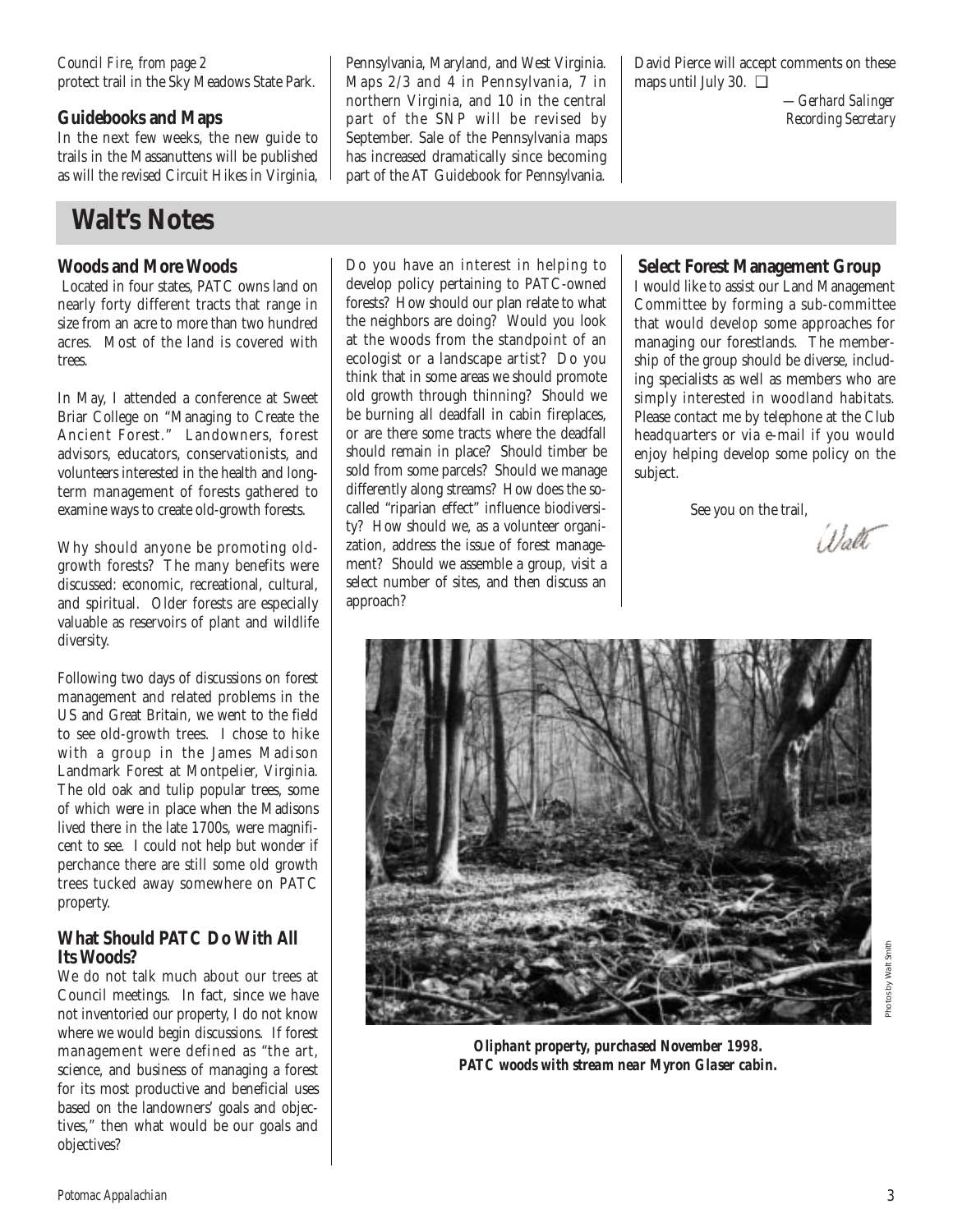#### protect trail in the Sky Meadows State Park. *Council Fire, from page 2*

### **Guidebooks and Maps**

In the next few weeks, the new guide to trails in the Massanuttens will be published as will the revised Circuit Hikes in Virginia,

## **Walt's Notes**

### **Woods and More Woods**

Located in four states, PATC owns land on nearly forty different tracts that range in size from an acre to more than two hundred acres. Most of the land is covered with trees.

In May, I attended a conference at Sweet Briar College on "Managing to Create the Ancient Forest." Landowners, forest advisors, educators, conservationists, and volunteers interested in the health and longterm management of forests gathered to examine ways to create old-growth forests.

Why should anyone be promoting oldgrowth forests? The many benefits were discussed: economic, recreational, cultural, and spiritual. Older forests are especially valuable as reservoirs of plant and wildlife diversity.

Following two days of discussions on forest management and related problems in the US and Great Britain, we went to the field to see old-growth trees. I chose to hike with a group in the James Madison Landmark Forest at Montpelier, Virginia. The old oak and tulip popular trees, some of which were in place when the Madisons lived there in the late 1700s, were magnificent to see. I could not help but wonder if perchance there are still some old growth trees tucked away somewhere on PATC property.

### **What Should PATC Do With All Its Woods?**

We do not talk much about our trees at Council meetings. In fact, since we have not inventoried our property, I do not know where we would begin discussions. If forest management were defined as "the art, science, and business of managing a forest for its most productive and beneficial uses based on the landowners' goals and objectives," then what would be our goals and objectives?

Pennsylvania, Maryland, and West Virginia. Maps 2/3 and 4 in Pennsylvania, 7 in northern Virginia, and 10 in the central part of the SNP will be revised by September. Sale of the Pennsylvania maps has increased dramatically since becoming part of the AT Guidebook for Pennsylvania.

Do you have an interest in helping to develop policy pertaining to PATC-owned forests? How should our plan relate to what the neighbors are doing? Would you look at the woods from the standpoint of an ecologist or a landscape artist? Do you think that in some areas we should promote old growth through thinning? Should we be burning all deadfall in cabin fireplaces, or are there some tracts where the deadfall should remain in place? Should timber be sold from some parcels? Should we manage differently along streams? How does the socalled "riparian effect" influence biodiversity? How should we, as a volunteer organization, address the issue of forest management? Should we assemble a group, visit a select number of sites, and then discuss an

approach?

David Pierce will accept comments on these maps until July 30. ❑

> *—Gerhard Salinger Recording Secretary*

### **Select Forest Management Group**

I would like to assist our Land Management Committee by forming a sub-committee that would develop some approaches for managing our forestlands. The membership of the group should be diverse, including specialists as well as members who are simply interested in woodland habitats. Please contact me by telephone at the Club headquarters or via e-mail if you would enjoy helping develop some policy on the subject.

See you on the trail,

Walt



*Oliphant property, purchased November 1998. PATC woods with stream near Myron Glaser cabin.*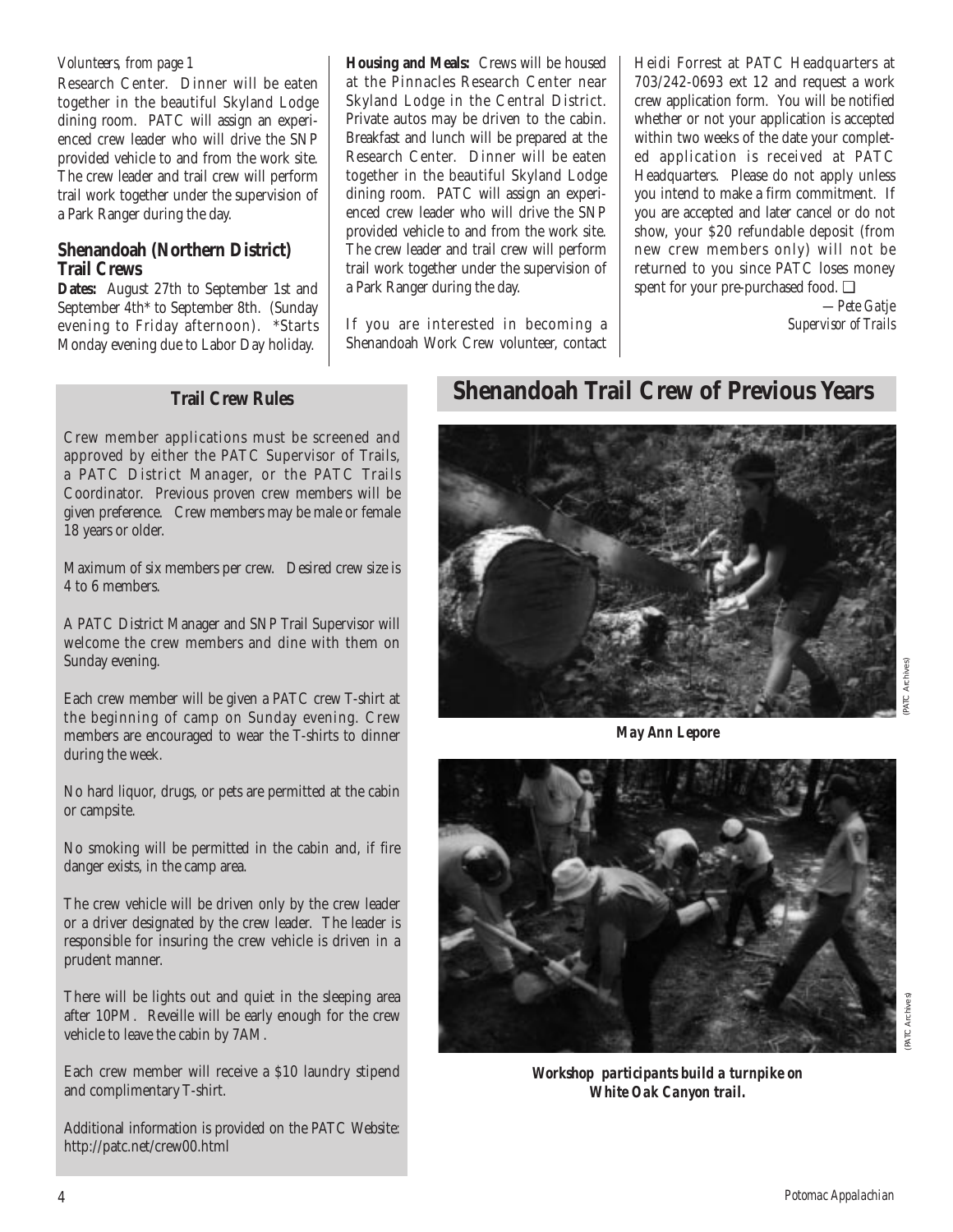### *Volunteers, from page 1*

Research Center. Dinner will be eaten together in the beautiful Skyland Lodge dining room. PATC will assign an experienced crew leader who will drive the SNP provided vehicle to and from the work site. The crew leader and trail crew will perform trail work together under the supervision of a Park Ranger during the day.

### **Shenandoah (Northern District) Trail Crews**

**Dates:** August 27th to September 1st and September 4th\* to September 8th. (Sunday evening to Friday afternoon). \*Starts Monday evening due to Labor Day holiday.

**Housing and Meals:** Crews will be housed at the Pinnacles Research Center near Skyland Lodge in the Central District. Private autos may be driven to the cabin. Breakfast and lunch will be prepared at the Research Center. Dinner will be eaten together in the beautiful Skyland Lodge dining room. PATC will assign an experienced crew leader who will drive the SNP provided vehicle to and from the work site. The crew leader and trail crew will perform trail work together under the supervision of a Park Ranger during the day.

If you are interested in becoming a Shenandoah Work Crew volunteer, contact Heidi Forrest at PATC Headquarters at 703/242-0693 ext 12 and request a work crew application form. You will be notified whether or not your application is accepted within two weeks of the date your completed application is received at PATC Headquarters. Please do not apply unless you intend to make a firm commitment. If you are accepted and later cancel or do not show, your \$20 refundable deposit (from new crew members only) will not be returned to you since PATC loses money spent for your pre-purchased food. ❑

*—Pete Gatje Supervisor of Trails*

### **Trail Crew Rules**

Crew member applications must be screened and approved by either the PATC Supervisor of Trails, a PATC District Manager, or the PATC Trails Coordinator. Previous proven crew members will be given preference. Crew members may be male or female 18 years or older.

Maximum of six members per crew. Desired crew size is 4 to 6 members.

A PATC District Manager and SNP Trail Supervisor will welcome the crew members and dine with them on Sunday evening.

Each crew member will be given a PATC crew T-shirt at the beginning of camp on Sunday evening. Crew members are encouraged to wear the T-shirts to dinner during the week.

No hard liquor, drugs, or pets are permitted at the cabin or campsite.

No smoking will be permitted in the cabin and, if fire danger exists, in the camp area.

The crew vehicle will be driven only by the crew leader or a driver designated by the crew leader. The leader is responsible for insuring the crew vehicle is driven in a prudent manner.

There will be lights out and quiet in the sleeping area after 10PM. Reveille will be early enough for the crew vehicle to leave the cabin by 7AM.

Each crew member will receive a \$10 laundry stipend and complimentary T-shirt.

Additional information is provided on the PATC Website: http://patc.net/crew00.html

### **Shenandoah Trail Crew of Previous Years**



*May Ann Lepore*



(PATC Archives)

*Workshop participants build a turnpike on White Oak Canyon trail.*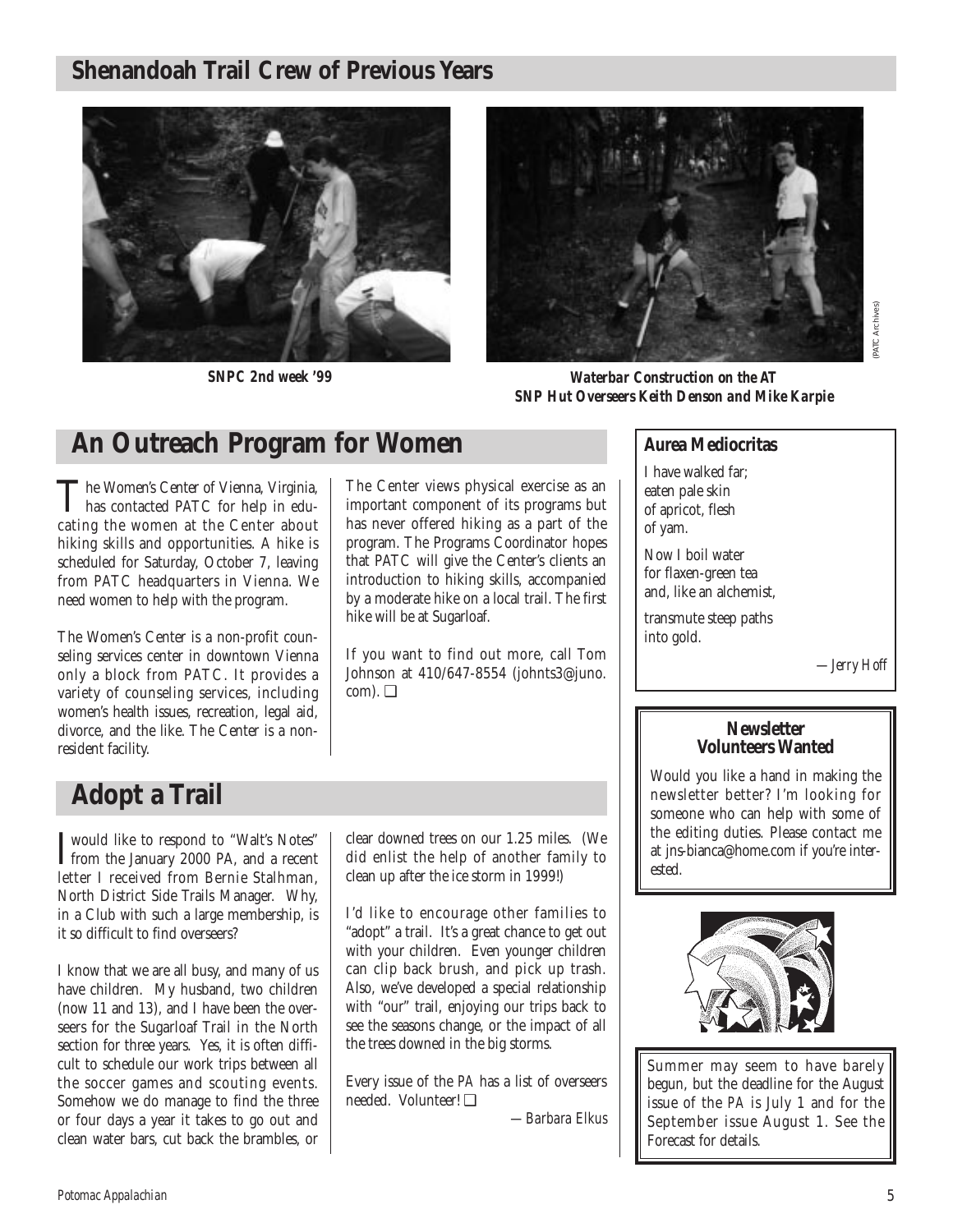## **Shenandoah Trail Crew of Previous Years**



*SNPC 2nd week '99*



*Waterbar Construction on the AT SNP Hut Overseers Keith Denson and Mike Karpie*

## **An Outreach Program for Women**

The Women's Center of Vienna, Virginia, has contacted PATC for help in educating the women at the Center about hiking skills and opportunities. A hike is scheduled for Saturday, October 7, leaving from PATC headquarters in Vienna. We need women to help with the program.

The Women's Center is a non-profit counseling services center in downtown Vienna only a block from PATC. It provides a variety of counseling services, including women's health issues, recreation, legal aid, divorce, and the like. The Center is a nonresident facility.

The Center views physical exercise as an important component of its programs but has never offered hiking as a part of the program. The Programs Coordinator hopes that PATC will give the Center's clients an introduction to hiking skills, accompanied by a moderate hike on a local trail. The first hike will be at Sugarloaf.

If you want to find out more, call Tom Johnson at 410/647-8554 (johnts3@juno. com). ❑

### **Aurea Mediocritas**

I have walked far; eaten pale skin of apricot, flesh of yam.

Now I boil water for flaxen-green tea and, like an alchemist,

transmute steep paths into gold.

 $-I$ erry Hoff

### **Newsletter Volunteers Wanted**

Would you like a hand in making the newsletter better? I'm looking for someone who can help with some of the editing duties. Please contact me at jns-bianca@home.com if you're interested.



Summer may seem to have barely begun, but the deadline for the August issue of the *PA* is July 1 and for the September issue August 1. See the Forecast for details.

## **Adopt a Trail**

I would like to respond to "Walt's Notes"<br>from the January 2000 PA, and a recent from the January 2000 PA, and a recent letter I received from Bernie Stalhman, North District Side Trails Manager. Why, in a Club with such a large membership, is it so difficult to find overseers?

I know that we are all busy, and many of us have children. My husband, two children (now 11 and 13), and I have been the overseers for the Sugarloaf Trail in the North section for three years. Yes, it is often difficult to schedule our work trips between all the soccer games and scouting events. Somehow we do manage to find the three or four days a year it takes to go out and clean water bars, cut back the brambles, or clear downed trees on our 1.25 miles. (We did enlist the help of another family to clean up after the ice storm in 1999!)

I'd like to encourage other families to "adopt" a trail. It's a great chance to get out with your children. Even younger children can clip back brush, and pick up trash. Also, we've developed a special relationship with "our" trail, enjoying our trips back to see the seasons change, or the impact of all the trees downed in the big storms.

Every issue of the *PA* has a list of overseers needed. Volunteer! ❑

*—Barbara Elkus*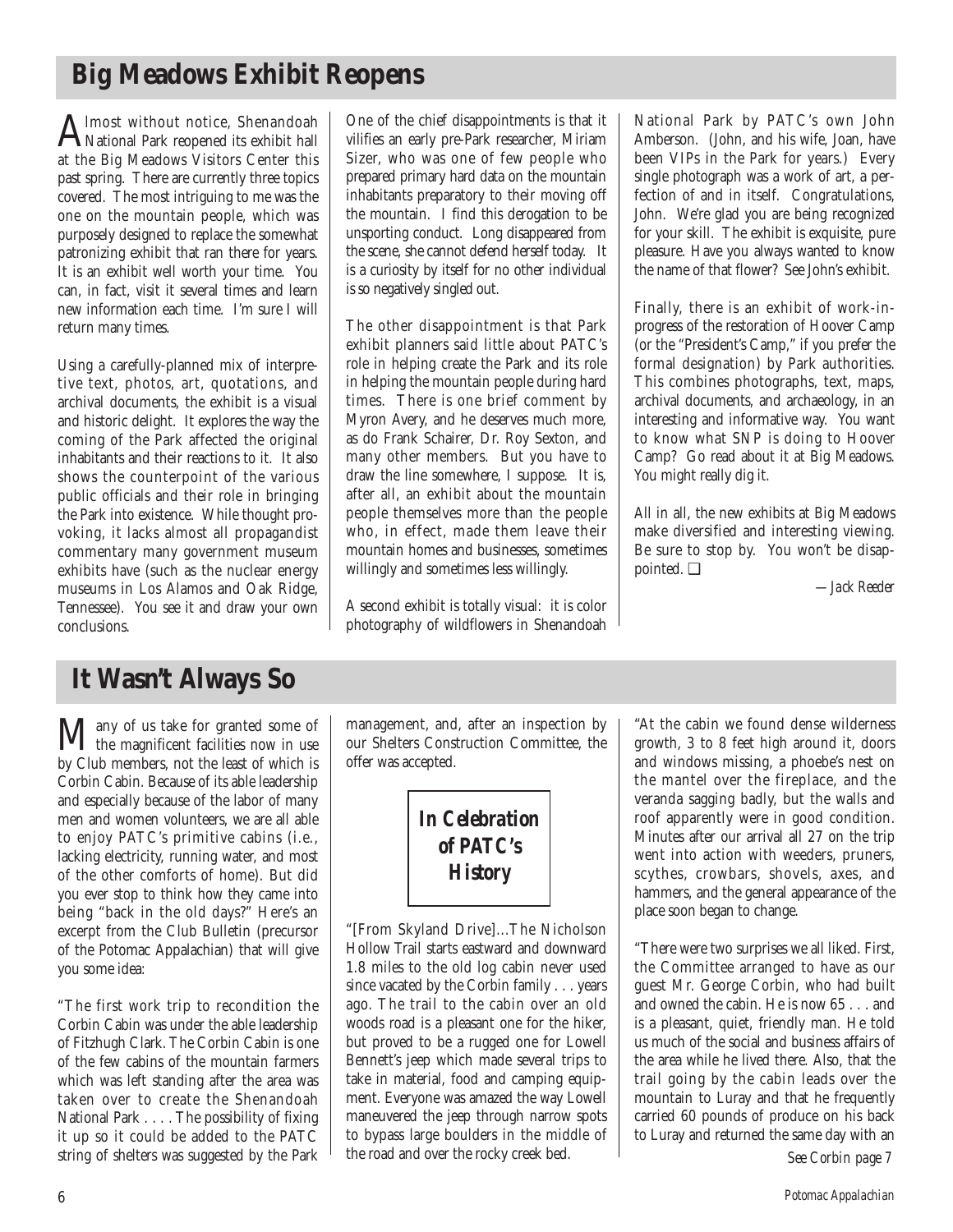## **Big Meadows Exhibit Reopens**

Almost without notice, Shenandoah<br>National Park reopened its exhibit hall at the Big Meadows Visitors Center this past spring. There are currently three topics covered. The most intriguing to me was the one on the mountain people, which was purposely designed to replace the somewhat patronizing exhibit that ran there for years. It is an exhibit well worth your time. You can, in fact, visit it several times and learn new information each time. I'm sure I will return many times.

Using a carefully-planned mix of interpretive text, photos, art, quotations, and archival documents, the exhibit is a visual and historic delight. It explores the way the coming of the Park affected the original inhabitants and their reactions to it. It also shows the counterpoint of the various public officials and their role in bringing the Park into existence. While thought provoking, it lacks almost all propagandist commentary many government museum exhibits have (such as the nuclear energy museums in Los Alamos and Oak Ridge, Tennessee). You see it and draw your own conclusions.

One of the chief disappointments is that it vilifies an early pre-Park researcher, Miriam Sizer, who was one of few people who prepared primary hard data on the mountain inhabitants preparatory to their moving off the mountain. I find this derogation to be unsporting conduct. Long disappeared from the scene, she cannot defend herself today. It is a curiosity by itself for no other individual is so negatively singled out.

The other disappointment is that Park exhibit planners said little about PATC's role in helping create the Park and its role in helping the mountain people during hard times. There is one brief comment by Myron Avery, and he deserves much more, as do Frank Schairer, Dr. Roy Sexton, and many other members. But you have to draw the line somewhere, I suppose. It is, after all, an exhibit about the mountain people themselves more than the people who, in effect, made them leave their mountain homes and businesses, sometimes willingly and sometimes less willingly.

A second exhibit is totally visual: it is color photography of wildflowers in Shenandoah National Park by PATC's own John Amberson. (John, and his wife, Joan, have been VIPs in the Park for years.) Every single photograph was a work of art, a perfection of and in itself. Congratulations, John. We're glad you are being recognized for your skill. The exhibit is exquisite, pure pleasure. Have you always wanted to know the name of that flower? See John's exhibit.

Finally, there is an exhibit of work-inprogress of the restoration of Hoover Camp (or the "President's Camp," if you prefer the formal designation) by Park authorities. This combines photographs, text, maps, archival documents, and archaeology, in an interesting and informative way. You want to know what SNP is doing to Hoover Camp? Go read about it at Big Meadows. You might really dig it.

All in all, the new exhibits at Big Meadows make diversified and interesting viewing. Be sure to stop by. You won't be disappointed. ❑

*—Jack Reeder* 

## **It Wasn't Always So**

**Many** of us take for granted some of<br>the magnificent facilities now in use by Club members, not the least of which is Corbin Cabin. Because of its able leadership and especially because of the labor of many men and women volunteers, we are all able to enjoy PATC's primitive cabins (i.e., lacking electricity, running water, and most of the other comforts of home). But did you ever stop to think how they came into being "back in the old days?" Here's an excerpt from the Club Bulletin (precursor of the Potomac Appalachian) that will give you some idea:

"The first work trip to recondition the Corbin Cabin was under the able leadership of Fitzhugh Clark. The Corbin Cabin is one of the few cabins of the mountain farmers which was left standing after the area was taken over to create the Shenandoah National Park . . . . The possibility of fixing it up so it could be added to the PATC string of shelters was suggested by the Park

management, and, after an inspection by our Shelters Construction Committee, the offer was accepted.

> *In Celebration of PATC's History*

"[From Skyland Drive]...The Nicholson Hollow Trail starts eastward and downward 1.8 miles to the old log cabin never used since vacated by the Corbin family . . . years ago. The trail to the cabin over an old woods road is a pleasant one for the hiker, but proved to be a rugged one for Lowell Bennett's jeep which made several trips to take in material, food and camping equipment. Everyone was amazed the way Lowell maneuvered the jeep through narrow spots to bypass large boulders in the middle of the road and over the rocky creek bed.

"At the cabin we found dense wilderness growth, 3 to 8 feet high around it, doors and windows missing, a phoebe's nest on the mantel over the fireplace, and the veranda sagging badly, but the walls and roof apparently were in good condition. Minutes after our arrival all 27 on the trip went into action with weeders, pruners, scythes, crowbars, shovels, axes, and hammers, and the general appearance of the place soon began to change.

"There were two surprises we all liked. First, the Committee arranged to have as our guest Mr. George Corbin, who had built and owned the cabin. He is now 65 . . . and is a pleasant, quiet, friendly man. He told us much of the social and business affairs of the area while he lived there. Also, that the trail going by the cabin leads over the mountain to Luray and that he frequently carried 60 pounds of produce on his back to Luray and returned the same day with an *See Corbin page 7*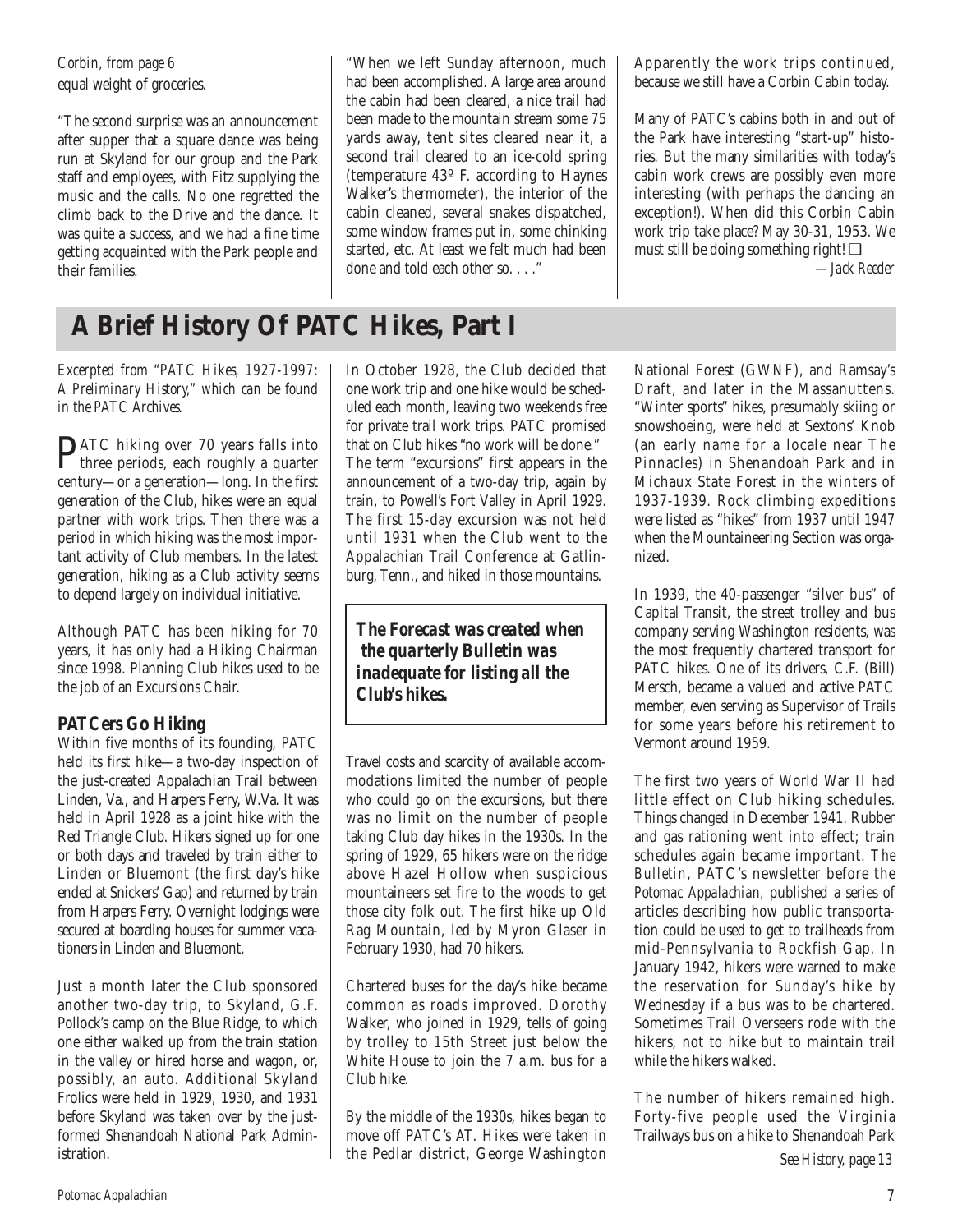equal weight of groceries. *Corbin, from page 6*

"The second surprise was an announcement after supper that a square dance was being run at Skyland for our group and the Park staff and employees, with Fitz supplying the music and the calls. No one regretted the climb back to the Drive and the dance. It was quite a success, and we had a fine time getting acquainted with the Park people and their families.

**A Brief History Of PATC Hikes, Part I**

*Excerpted from "PATC Hikes, 1927-1997: A Preliminary History," which can be found in the PATC Archives.*

PATC hiking over 70 years falls into three periods, each roughly a quarter century—or a generation—long. In the first generation of the Club, hikes were an equal partner with work trips. Then there was a period in which hiking was the most important activity of Club members. In the latest generation, hiking as a Club activity seems to depend largely on individual initiative.

Although PATC has been hiking for 70 years, it has only had a Hiking Chairman since 1998. Planning Club hikes used to be the job of an Excursions Chair.

### **PATCers Go Hiking**

Within five months of its founding, PATC held its first hike—a two-day inspection of the just-created Appalachian Trail between Linden, Va., and Harpers Ferry, W.Va. It was held in April 1928 as a joint hike with the Red Triangle Club. Hikers signed up for one or both days and traveled by train either to Linden or Bluemont (the first day's hike ended at Snickers' Gap) and returned by train from Harpers Ferry. Overnight lodgings were secured at boarding houses for summer vacationers in Linden and Bluemont.

Just a month later the Club sponsored another two-day trip, to Skyland, G.F. Pollock's camp on the Blue Ridge, to which one either walked up from the train station in the valley or hired horse and wagon, or, possibly, an auto. Additional Skyland Frolics were held in 1929, 1930, and 1931 before Skyland was taken over by the justformed Shenandoah National Park Administration.

In October 1928, the Club decided that one work trip and one hike would be scheduled each month, leaving two weekends free for private trail work trips. PATC promised that on Club hikes "no work will be done." The term "excursions" first appears in the announcement of a two-day trip, again by train, to Powell's Fort Valley in April 1929. The first 15-day excursion was not held until 1931 when the Club went to the Appalachian Trail Conference at Gatlinburg, Tenn., and hiked in those mountains.

done and told each other so. . . ."

"When we left Sunday afternoon, much had been accomplished. A large area around the cabin had been cleared, a nice trail had been made to the mountain stream some 75 yards away, tent sites cleared near it, a second trail cleared to an ice-cold spring (temperature 43º F. according to Haynes Walker's thermometer), the interior of the cabin cleaned, several snakes dispatched, some window frames put in, some chinking started, etc. At least we felt much had been

*The Forecast was created when the quarterly* **Bulletin** *was inadequate for listing all the Club's hikes.*

Travel costs and scarcity of available accommodations limited the number of people who could go on the excursions, but there was no limit on the number of people taking Club day hikes in the 1930s. In the spring of 1929, 65 hikers were on the ridge above Hazel Hollow when suspicious mountaineers set fire to the woods to get those city folk out. The first hike up Old Rag Mountain, led by Myron Glaser in February 1930, had 70 hikers.

Chartered buses for the day's hike became common as roads improved. Dorothy Walker, who joined in 1929, tells of going by trolley to 15th Street just below the White House to join the 7 a.m. bus for a Club hike.

By the middle of the 1930s, hikes began to move off PATC's AT. Hikes were taken in the Pedlar district, George Washington Apparently the work trips continued, because we still have a Corbin Cabin today.

Many of PATC's cabins both in and out of the Park have interesting "start-up" histories. But the many similarities with today's cabin work crews are possibly even more interesting (with perhaps the dancing an exception!). When did this Corbin Cabin work trip take place? May 30-31, 1953. We must still be doing something right! ❑

*—Jack Reeder*

National Forest (GWNF), and Ramsay's Draft, and later in the Massanuttens. "Winter sports" hikes, presumably skiing or snowshoeing, were held at Sextons' Knob (an early name for a locale near The Pinnacles) in Shenandoah Park and in Michaux State Forest in the winters of 1937-1939. Rock climbing expeditions were listed as "hikes" from 1937 until 1947 when the Mountaineering Section was organized.

In 1939, the 40-passenger "silver bus" of Capital Transit, the street trolley and bus company serving Washington residents, was the most frequently chartered transport for PATC hikes. One of its drivers, C.F. (Bill) Mersch, became a valued and active PATC member, even serving as Supervisor of Trails for some years before his retirement to Vermont around 1959.

The first two years of World War II had little effect on Club hiking schedules. Things changed in December 1941. Rubber and gas rationing went into effect; train schedules again became important. *The Bulletin*, PATC's newsletter before the *Potomac Appalachian,* published a series of articles describing how public transportation could be used to get to trailheads from mid-Pennsylvania to Rockfish Gap. In January 1942, hikers were warned to make the reservation for Sunday's hike by Wednesday if a bus was to be chartered. Sometimes Trail Overseers rode with the hikers, not to hike but to maintain trail while the hikers walked.

The number of hikers remained high. Forty-five people used the Virginia Trailways bus on a hike to Shenandoah Park

*See History, page 13*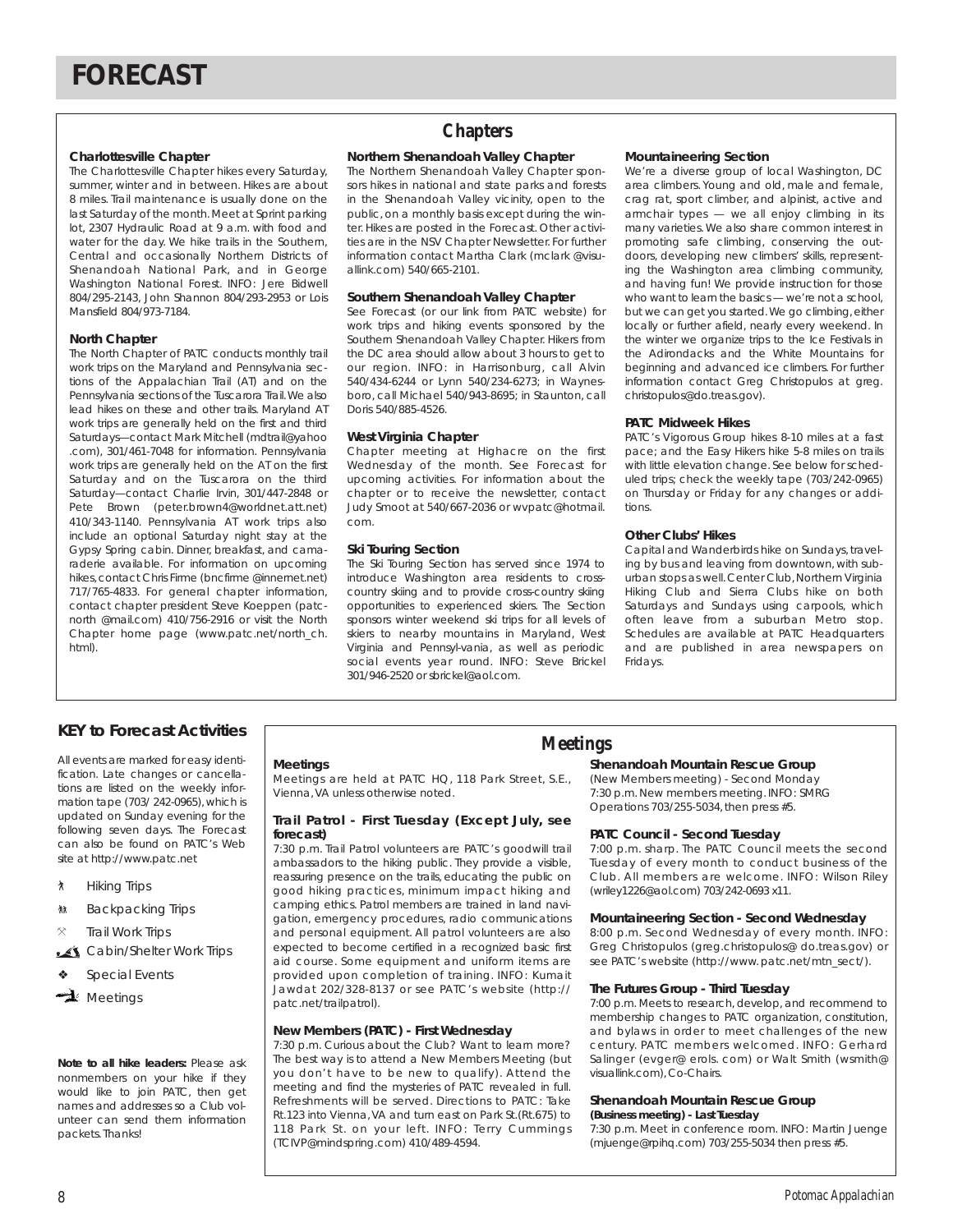#### **Charlottesville Chapter**

The Charlottesville Chapter hikes every Saturday, summer, winter and in between. Hikes are about 8 miles. Trail maintenance is usually done on the last Saturday of the month.Meet at Sprint parking lot, 2307 Hydraulic Road at 9 a.m. with food and water for the day. We hike trails in the Southern, Central and occasionally Northern Districts of Shenandoah National Park, and in George Washington National Forest. INFO: Jere Bidwell 804/295-2143, John Shannon 804/293-2953 or Lois Mansfield 804/973-7184.

#### **North Chapter**

The North Chapter of PATC conducts monthly trail work trips on the Maryland and Pennsylvania sections of the Appalachian Trail (AT) and on the Pennsylvania sections of the Tuscarora Trail.We also lead hikes on these and other trails. Maryland AT work trips are generally held on the first and third Saturdays—contact Mark Mitchell (mdtrail@yahoo .com), 301/461-7048 for information. Pennsylvania work trips are generally held on the AT on the first Saturday and on the Tuscarora on the third Saturday—contact Charlie Irvin, 301/447-2848 or Pete Brown (peter.brown4@worldnet.att.net) 410/343-1140. Pennsylvania AT work trips also include an optional Saturday night stay at the Gypsy Spring cabin. Dinner, breakfast, and camaraderie available. For information on upcoming hikes, contact Chris Firme (bncfirme @innernet.net) 717/765-4833. For general chapter information, contact chapter president Steve Koeppen (patcnorth @mail.com) 410/756-2916 or visit the North Chapter home page (www.patc.net/north\_ch. html).

### **Chapters**

#### **Northern Shenandoah Valley Chapter**

The Northern Shenandoah Valley Chapter sponsors hikes in national and state parks and forests in the Shenandoah Valley vicinity, open to the public, on a monthly basis except during the winter. Hikes are posted in the Forecast. Other activities are in the NSV Chapter Newsletter. For further information contact Martha Clark (mclark @visuallink.com) 540/665-2101.

#### **Southern Shenandoah Valley Chapter**

See Forecast (or our link from PATC website) for work trips and hiking events sponsored by the Southern Shenandoah Valley Chapter. Hikers from the DC area should allow about 3 hours to get to our region. INFO: in Harrisonburg, call Alvin 540/434-6244 or Lynn 540/234-6273; in Waynesboro, call Michael 540/943-8695; in Staunton, call Doris 540/885-4526.

#### **West Virginia Chapter**

Chapter meeting at Highacre on the first Wednesday of the month. See Forecast for upcoming activities. For information about the chapter or to receive the newsletter, contact Judy Smoot at 540/667-2036 or wvpatc@hotmail. com.

#### **Ski Touring Section**

The Ski Touring Section has served since 1974 to introduce Washington area residents to crosscountry skiing and to provide cross-country skiing opportunities to experienced skiers. The Section sponsors winter weekend ski trips for all levels of skiers to nearby mountains in Maryland, West Virginia and Pennsyl-vania, as well as periodic social events year round. INFO: Steve Brickel 301/946-2520 or sbrickel@aol.com.

#### **Mountaineering Section**

We're a diverse group of local Washington, DC area climbers. Young and old, male and female, crag rat, sport climber, and alpinist, active and armchair types — we all enjoy climbing in its many varieties.We also share common interest in promoting safe climbing, conserving the outdoors, developing new climbers' skills, representing the Washington area climbing community, and having fun! We provide instruction for those who want to learn the basics — we're not a school, but we can get you started. We go climbing, either locally or further afield, nearly every weekend. In the winter we organize trips to the Ice Festivals in the Adirondacks and the White Mountains for beginning and advanced ice climbers. For further information contact Greg Christopulos at greg. christopulos@do.treas.gov).

#### **PATC Midweek Hikes**

PATC's Vigorous Group hikes 8-10 miles at a fast pace; and the Easy Hikers hike 5-8 miles on trails with little elevation change. See below for scheduled trips; check the weekly tape (703/242-0965) on Thursday or Friday for any changes or additions.

#### **Other Clubs' Hikes**

Capital and Wanderbirds hike on Sundays, traveling by bus and leaving from downtown, with suburban stops as well. Center Club, Northern Virginia Hiking Club and Sierra Clubs hike on both Saturdays and Sundays using carpools, which often leave from a suburban Metro stop. Schedules are available at PATC Headquarters and are published in area newspapers on Fridays.

## **Meetings KEY to Forecast Activities**

All events are marked for easy identification. Late changes or cancellations are listed on the weekly information tape (703/ 242-0965), which is updated on Sunday evening for the following seven days. The Forecast can also be found on PATC's Web site at http://www.patc.net

- ` Hiking Trips
- **M** Backpacking Trips
- **Trail Work Trips**
- Cabin/Shelter Work Trips
- Special Events
- $\rightarrow$  Meetings

#### *Note to all hike leaders:* Please ask nonmembers on your hike if they would like to join PATC, then get names and addresses so a Club volunteer can send them information packets. Thanks!

#### **Meetings**

Meetings are held at PATC HQ, 118 Park Street, S.E., Vienna,VA unless otherwise noted.

#### **Trail Patrol - First Tuesday (Except July, see forecast)**

7:30 p.m. Trail Patrol volunteers are PATC's goodwill trail ambassadors to the hiking public. They provide a visible, reassuring presence on the trails, educating the public on good hiking practices, minimum impact hiking and camping ethics. Patrol members are trained in land navigation, emergency procedures, radio communications and personal equipment. All patrol volunteers are also expected to become certified in a recognized basic first aid course. Some equipment and uniform items are provided upon completion of training. INFO: Kumait Jawdat 202/328-8137 or see PATC's website (http:// patc.net/trailpatrol).

#### **New Members (PATC) - First Wednesday**

7:30 p.m. Curious about the Club? Want to learn more? The best way is to attend a New Members Meeting (but you don't have to be new to qualify). Attend the meeting and find the mysteries of PATC revealed in full. Refreshments will be served. Directions to PATC: Take Rt.123 into Vienna,VA and turn east on Park St.(Rt.675) to 118 Park St. on your left. INFO: Terry Cummings (TCIVP@mindspring.com) 410/489-4594.

#### **Shenandoah Mountain Rescue Group**

(New Members meeting) - Second Monday 7:30 p.m. New members meeting. INFO: SMRG Operations 703/255-5034,then press #5.

#### **PATC Council - Second Tuesday**

7:00 p.m. sharp. The PATC Council meets the second Tuesday of every month to conduct business of the Club. All members are welcome. INFO: Wilson Riley (wriley1226@aol.com) 703/242-0693 x11.

#### **Mountaineering Section - Second Wednesday**

8:00 p.m. Second Wednesday of every month. INFO: Greg Christopulos (greg.christopulos@ do.treas.gov) or see PATC's website (http://www.patc.net/mtn\_sect/).

#### **The Futures Group - Third Tuesday**

7:00 p.m. Meets to research, develop, and recommend to membership changes to PATC organization, constitution, and bylaws in order to meet challenges of the new century. PATC members welcomed. INFO: Gerhard Salinger (evger@ erols. com) or Walt Smith (wsmith@ visuallink.com), Co-Chairs.

### **Shenandoah Mountain Rescue Group**

**(Business meeting) - Last Tuesday** 

7:30 p.m. Meet in conference room. INFO: Martin Juenge (mjuenge@rpihq.com) 703/255-5034 then press #5.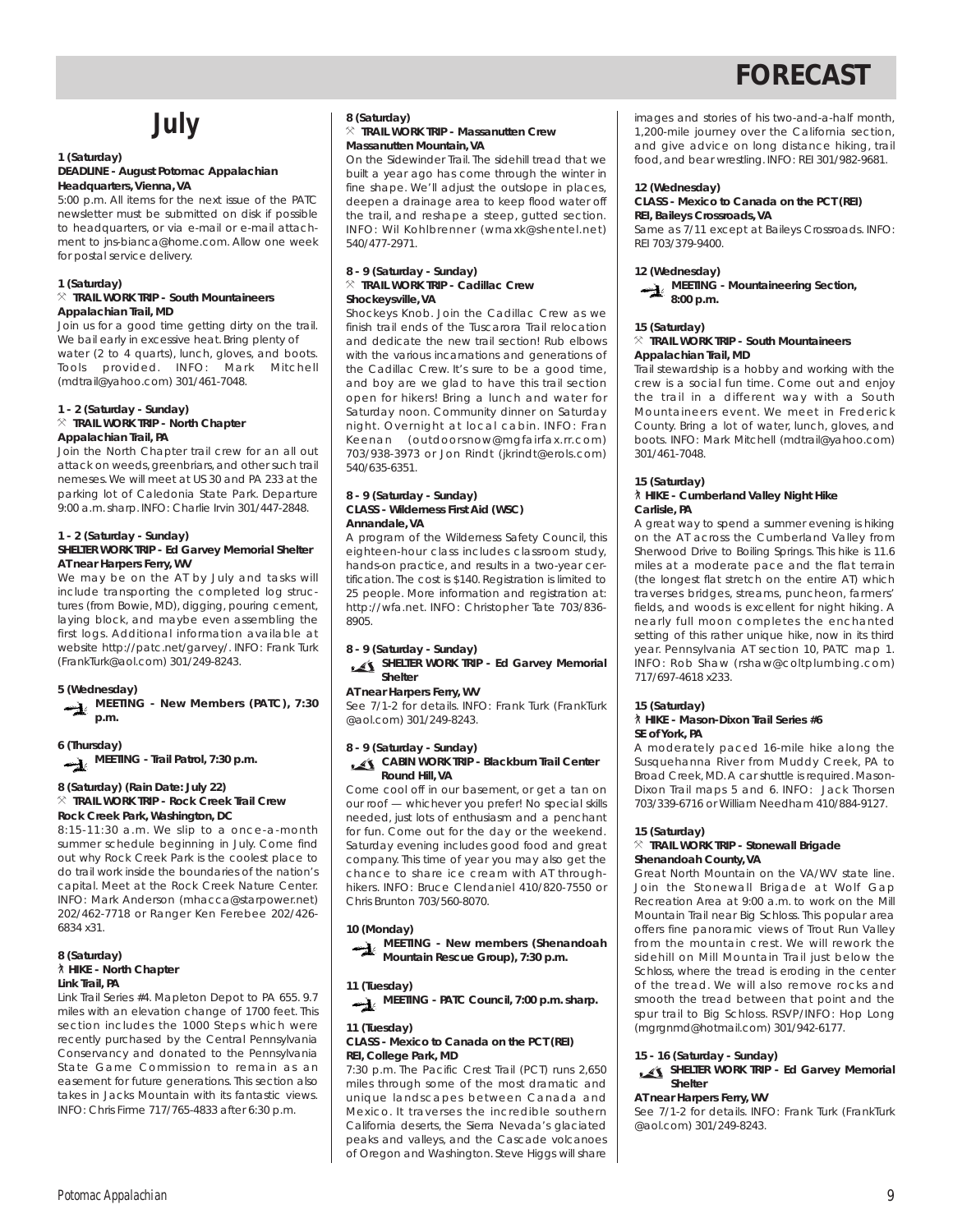## **July**

#### **1 (Saturday) DEADLINE - August** *Potomac Appalachian* **Headquarters, Vienna, VA**

5:00 p.m. All items for the next issue of the PATC newsletter must be submitted on disk if possible to headquarters, or via e-mail or e-mail attachment to jns-bianca@home.com. Allow one week for postal service delivery.

#### **1 (Saturday)**

#### } **TRAIL WORK TRIP - South Mountaineers Appalachian Trail, MD**

Join us for a good time getting dirty on the trail. We bail early in excessive heat. Bring plenty of water (2 to 4 quarts), lunch, gloves, and boots. Tools provided. INFO: Mark Mitchell (mdtrail@yahoo.com) 301/461-7048.

#### **1 - 2 (Saturday - Sunday)**

#### } **TRAIL WORK TRIP - North Chapter Appalachian Trail, PA**

Join the North Chapter trail crew for an all out attack on weeds, greenbriars, and other such trail nemeses.We will meet at US 30 and PA 233 at the parking lot of Caledonia State Park. Departure 9:00 a.m.sharp. INFO: Charlie Irvin 301/447-2848.

#### **1 - 2 (Saturday - Sunday) SHELTER WORK TRIP - Ed Garvey Memorial Shelter AT near Harpers Ferry, WV**

We may be on the AT by July and tasks will include transporting the completed log structures (from Bowie, MD), digging, pouring cement, laying block, and maybe even assembling the first logs. Additional information available at website http://patc.net/garvey/. INFO: Frank Turk (FrankTurk@aol.com) 301/249-8243.

#### **5 (Wednesday)**

**MEETING - New Members (PATC), 7:30 p.m.**

#### **6 (Thursday)**

**MEETING - Trail Patrol, 7:30 p.m.**

#### **8 (Saturday) (Rain Date: July 22)**

#### } **TRAIL WORK TRIP - Rock Creek Trail Crew Rock Creek Park, Washington, DC**

8:15-11:30 a.m. We slip to a once-a-month summer schedule beginning in July. Come find out why Rock Creek Park is the coolest place to do trail work inside the boundaries of the nation's capital. Meet at the Rock Creek Nature Center. INFO: Mark Anderson (mhacca@starpower.net) 202/462-7718 or Ranger Ken Ferebee 202/426- 6834 x31.

#### **8 (Saturday)** ` **HIKE - North Chapter Link Trail, PA**

Link Trail Series #4. Mapleton Depot to PA 655. 9.7 miles with an elevation change of 1700 feet. This section includes the 1000 Steps which were recently purchased by the Central Pennsylvania Conservancy and donated to the Pennsylvania State Game Commission to remain as an easement for future generations. This section also takes in Jacks Mountain with its fantastic views. INFO: Chris Firme 717/765-4833 after 6:30 p.m.

#### **8 (Saturday)** } **TRAIL WORK TRIP - Massanutten Crew Massanutten Mountain, VA**

On the Sidewinder Trail. The sidehill tread that we built a year ago has come through the winter in fine shape. We'll adjust the outslope in places, deepen a drainage area to keep flood water off the trail, and reshape a steep, gutted section. INFO: Wil Kohlbrenner (wmaxk@shentel.net) 540/477-2971.

#### **8 - 9 (Saturday - Sunday)** } **TRAIL WORK TRIP - Cadillac Crew Shockeysville, VA**

Shockeys Knob. Join the Cadillac Crew as we finish trail ends of the Tuscarora Trail relocation and dedicate the new trail section! Rub elbows with the various incarnations and generations of the Cadillac Crew. It's sure to be a good time, and boy are we glad to have this trail section open for hikers! Bring a lunch and water for Saturday noon. Community dinner on Saturday night. Overnight at local cabin. INFO: Fran Keenan (outdoorsnow@mgfairfax.rr.com) 703/938-3973 or Jon Rindt (jkrindt@erols.com) 540/635-6351.

#### **8 - 9 (Saturday - Sunday) CLASS - Wilderness First Aid (WSC) Annandale, VA**

A program of the Wilderness Safety Council, this eighteen-hour class includes classroom study, hands-on practice, and results in a two-year certification. The cost is \$140. Registration is limited to 25 people. More information and registration at: http://wfa.net. INFO: Christopher Tate 703/836- 8905.

#### **8 - 9 (Saturday - Sunday)**

#### **SHELTER WORK TRIP - Ed Garvey Memorial Shelter**

#### **AT near Harpers Ferry, WV**

See 7/1-2 for details. INFO: Frank Turk (FrankTurk @aol.com) 301/249-8243.

### **8 - 9 (Saturday - Sunday)**

**CABIN WORK TRIP - Blackburn Trail Center Round Hill, VA**

Come cool off in our basement, or get a tan on our roof — whichever you prefer! No special skills needed, just lots of enthusiasm and a penchant for fun. Come out for the day or the weekend. Saturday evening includes good food and great company. This time of year you may also get the chance to share ice cream with AT throughhikers. INFO: Bruce Clendaniel 410/820-7550 or Chris Brunton 703/560-8070.

#### **10 (Monday)**



#### **11 (Tuesday)**

**MEETING - PATC Council, 7:00 p.m. sharp.**

#### **11 (Tuesday)**

#### **CLASS - Mexico to Canada on the PCT (REI) REI, College Park, MD**

7:30 p.m. The Pacific Crest Trail (PCT) runs 2,650 miles through some of the most dramatic and unique landscapes between Canada and Mexico. It traverses the incredible southern California deserts, the Sierra Nevada's glaciated peaks and valleys, and the Cascade volcanoes of Oregon and Washington. Steve Higgs will share images and stories of his two-and-a-half month, 1,200-mile journey over the California section, and give advice on long distance hiking, trail food,and bear wrestling. INFO: REI 301/982-9681.

#### **12 (Wednesday)**

#### **CLASS - Mexico to Canada on the PCT (REI) REI, Baileys Crossroads, VA**

Same as 7/11 except at Baileys Crossroads. INFO: REI 703/379-9400.

#### **12 (Wednesday)**



#### **15 (Saturday)**

#### } **TRAIL WORK TRIP - South Mountaineers Appalachian Trail, MD**

Trail stewardship is a hobby and working with the crew is a social fun time. Come out and enjoy the trail in a different way with a South Mountaineers event. We meet in Frederick County. Bring a lot of water, lunch, gloves, and boots. INFO: Mark Mitchell (mdtrail@yahoo.com) 301/461-7048.

#### **15 (Saturday)** ` **HIKE - Cumberland Valley Night Hike Carlisle, PA**

A great way to spend a summer evening is hiking on the AT across the Cumberland Valley from Sherwood Drive to Boiling Springs. This hike is 11.6 miles at a moderate pace and the flat terrain (the longest flat stretch on the entire AT) which traverses bridges, streams, puncheon, farmers' fields, and woods is excellent for night hiking. A nearly full moon completes the enchanted setting of this rather unique hike, now in its third year. Pennsylvania AT section 10, PATC map 1. INFO: Rob Shaw (rshaw@coltplumbing.com) 717/697-4618 x233.

#### **15 (Saturday)**

#### ` **HIKE - Mason-Dixon Trail Series #6 SE of York, PA**

A moderately paced 16-mile hike along the Susquehanna River from Muddy Creek, PA to Broad Creek, MD. A car shuttle is required. Mason-Dixon Trail maps 5 and 6. INFO: Jack Thorsen 703/339-6716 or William Needham 410/884-9127.

#### **15 (Saturday)**

#### } **TRAIL WORK TRIP - Stonewall Brigade Shenandoah County, VA**

Great North Mountain on the VA/WV state line. Join the Stonewall Brigade at Wolf Gap Recreation Area at 9:00 a.m. to work on the Mill Mountain Trail near Big Schloss. This popular area offers fine panoramic views of Trout Run Valley from the mountain crest. We will rework the sidehill on Mill Mountain Trail just below the Schloss, where the tread is eroding in the center of the tread. We will also remove rocks and smooth the tread between that point and the spur trail to Big Schloss. RSVP/INFO: Hop Long (mgrgnmd@hotmail.com) 301/942-6177.

#### **15 - 16 (Saturday - Sunday)**

#### **SHELTER WORK TRIP - Ed Garvey Memorial Shelter**

#### **AT near Harpers Ferry, WV**

See 7/1-2 for details. INFO: Frank Turk (FrankTurk @aol.com) 301/249-8243.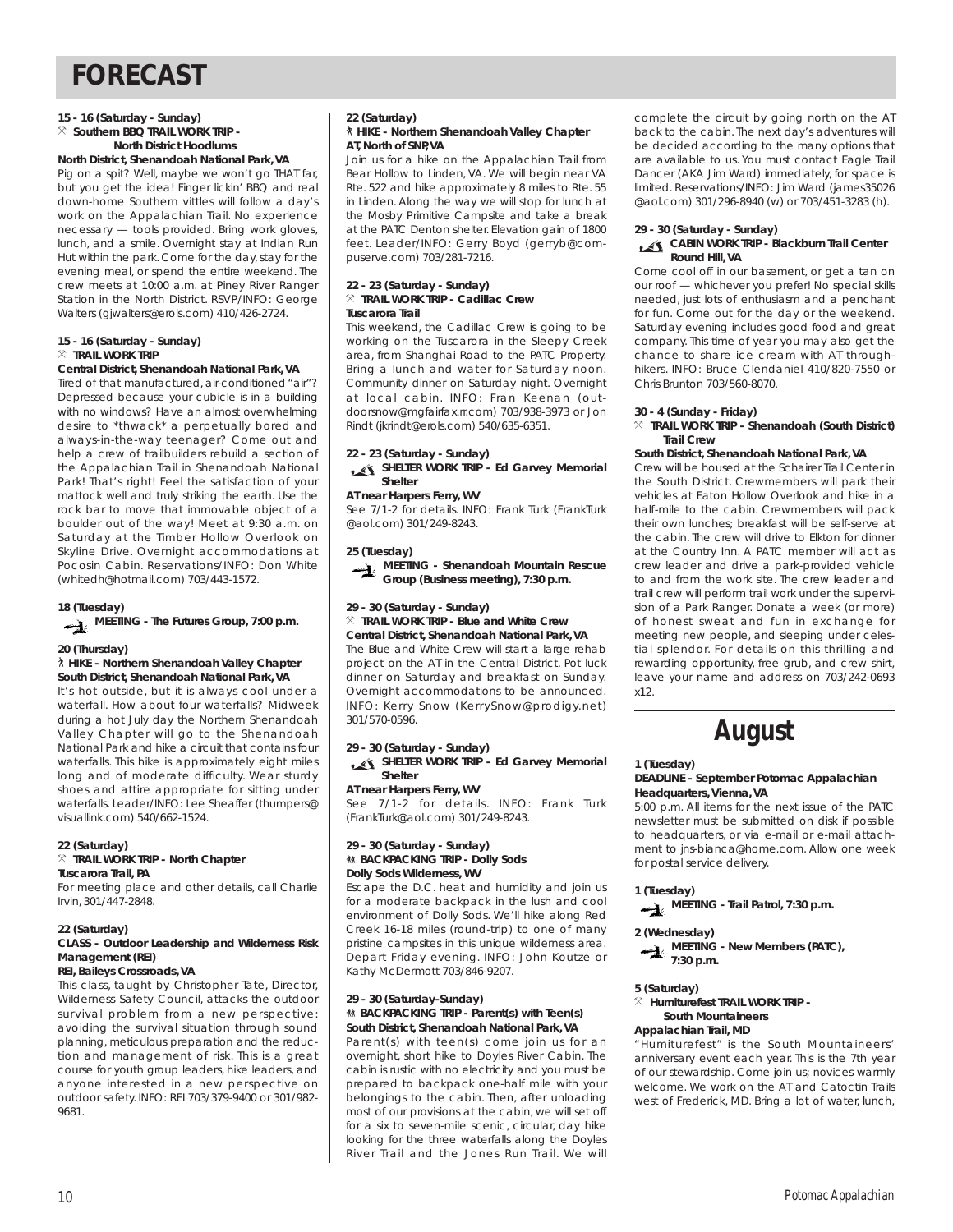#### **15 - 16 (Saturday - Sunday)**

#### $\%$  Southern BBQ TRAIL WORK TRIP -**North District Hoodlums**

#### **North District, Shenandoah National Park, VA**

Pig on a spit? Well, maybe we won't go THAT far, but you get the idea! Finger lickin' BBQ and real down-home Southern vittles will follow a day's work on the Appalachian Trail. No experience necessary — tools provided. Bring work gloves, lunch, and a smile. Overnight stay at Indian Run Hut within the park. Come for the day, stay for the evening meal, or spend the entire weekend. The crew meets at 10:00 a.m. at Piney River Ranger Station in the North District. RSVP/INFO: George Walters (gjwalters@erols.com) 410/426-2724.

#### **15 - 16 (Saturday - Sunday)**  $%$  **TRAIL WORK TRIP**

#### **Central District, Shenandoah National Park, VA**

Tired of that manufactured, air-conditioned "air"? Depressed because your cubicle is in a building with no windows? Have an almost overwhelming desire to \*thwack\* a perpetually bored and always-in-the-way teenager? Come out and help a crew of trailbuilders rebuild a section of the Appalachian Trail in Shenandoah National Park! That's right! Feel the satisfaction of your mattock well and truly striking the earth. Use the rock bar to move that immovable object of a boulder out of the way! Meet at 9:30 a.m. on Saturday at the Timber Hollow Overlook on Skyline Drive. Overnight accommodations at Pocosin Cabin. Reservations/INFO: Don White (whitedh@hotmail.com) 703/443-1572.

#### **18 (Tuesday)**

**MEETING - The Futures Group, 7:00 p.m.**

#### **20 (Thursday)**

#### ` **HIKE - Northern Shenandoah Valley Chapter South District, Shenandoah National Park, VA**

It's hot outside, but it is always cool under a waterfall. How about four waterfalls? Midweek during a hot July day the Northern Shenandoah Valley Chapter will go to the Shenandoah National Park and hike a circuit that contains four waterfalls. This hike is approximately eight miles long and of moderate difficulty. Wear sturdy shoes and attire appropriate for sitting under waterfalls. Leader/INFO: Lee Sheaffer (thumpers@ visuallink.com) 540/662-1524.

#### **22 (Saturday)**

#### } **TRAIL WORK TRIP - North Chapter Tuscarora Trail, PA**

For meeting place and other details, call Charlie Irvin, 301/447-2848.

#### **22 (Saturday)**

#### **CLASS - Outdoor Leadership and Wilderness Risk Management (REI)**

#### **REI, Baileys Crossroads, VA**

This class, taught by Christopher Tate, Director, Wilderness Safety Council, attacks the outdoor survival problem from a new perspective: avoiding the survival situation through sound planning, meticulous preparation and the reduction and management of risk. This is a great course for youth group leaders, hike leaders, and anyone interested in a new perspective on outdoor safety. INFO: REI 703/379-9400 or 301/982- 9681.

### **22 (Saturday)**

#### ` **HIKE - Northern Shenandoah Valley Chapter AT, North of SNP, VA**

Join us for a hike on the Appalachian Trail from Bear Hollow to Linden, VA. We will begin near VA Rte. 522 and hike approximately 8 miles to Rte. 55 in Linden. Along the way we will stop for lunch at the Mosby Primitive Campsite and take a break at the PATC Denton shelter. Elevation gain of 1800 feet. Leader/INFO: Gerry Boyd (gerryb@compuserve.com) 703/281-7216.

#### **22 - 23 (Saturday - Sunday)** } **TRAIL WORK TRIP - Cadillac Crew Tuscarora Trail**

This weekend, the Cadillac Crew is going to be working on the Tuscarora in the Sleepy Creek area, from Shanghai Road to the PATC Property. Bring a lunch and water for Saturday noon. Community dinner on Saturday night. Overnight at local cabin. INFO: Fran Keenan (outdoorsnow@mgfairfax.rr.com) 703/938-3973 or Jon Rindt (jkrindt@erols.com) 540/635-6351.

**22 - 23 (Saturday - Sunday)**

**SHELTER WORK TRIP - Ed Garvey Memorial Shelter**

#### **AT near Harpers Ferry, WV**

See 7/1-2 for details. INFO: Frank Turk (FrankTurk @aol.com) 301/249-8243.

#### **25 (Tuesday)**



#### **29 - 30 (Saturday - Sunday)**

 $%$  **TRAIL WORK TRIP - Blue and White Crew Central District, Shenandoah National Park, VA** The Blue and White Crew will start a large rehab project on the AT in the Central District. Pot luck dinner on Saturday and breakfast on Sunday. Overnight accommodations to be announced. INFO: Kerry Snow (KerrySnow@prodigy.net) 301/570-0596.

### **29 - 30 (Saturday - Sunday)**

**SHELTER WORK TRIP - Ed Garvey Memorial Shelter**

**AT near Harpers Ferry, WV** See 7/1-2 for details. INFO: Frank Turk (FrankTurk@aol.com) 301/249-8243.

#### **29 - 30 (Saturday - Sunday)** *M* BACKPACKING TRIP - Dolly Sods **Dolly Sods Wilderness, WV**

Escape the D.C. heat and humidity and join us for a moderate backpack in the lush and cool environment of Dolly Sods. We'll hike along Red Creek 16-18 miles (round-trip) to one of many pristine campsites in this unique wilderness area. Depart Friday evening. INFO: John Koutze or Kathy McDermott 703/846-9207.

#### **29 - 30 (Saturday-Sunday) M& BACKPACKING TRIP - Parent(s) with Teen(s) South District, Shenandoah National Park, VA**

Parent(s) with teen(s) come join us for an overnight, short hike to Doyles River Cabin. The cabin is rustic with no electricity and you must be prepared to backpack one-half mile with your belongings to the cabin. Then, after unloading most of our provisions at the cabin, we will set off for a six to seven-mile scenic, circular, day hike looking for the three waterfalls along the Doyles River Trail and the Jones Run Trail. We will

complete the circuit by going north on the AT back to the cabin. The next day's adventures will be decided according to the many options that are available to us. You must contact Eagle Trail Dancer (AKA Jim Ward) immediately, for space is limited. Reservations/INFO: Jim Ward (james35026 @aol.com) 301/296-8940 (w) or 703/451-3283 (h).

#### **29 - 30 (Saturday - Sunday) CABIN WORK TRIP - Blackburn Trail Center Round Hill, VA**

Come cool off in our basement, or get a tan on our roof — whichever you prefer! No special skills needed, just lots of enthusiasm and a penchant for fun. Come out for the day or the weekend. Saturday evening includes good food and great company. This time of year you may also get the chance to share ice cream with AT throughhikers. INFO: Bruce Clendaniel 410/820-7550 or Chris Brunton 703/560-8070.

#### **30 - 4 (Sunday - Friday)**

#### } **TRAIL WORK TRIP - Shenandoah (South District) Trail Crew**

#### **South District, Shenandoah National Park, VA**

Crew will be housed at the Schairer Trail Center in the South District. Crewmembers will park their vehicles at Eaton Hollow Overlook and hike in a half-mile to the cabin. Crewmembers will pack their own lunches; breakfast will be self-serve at the cabin. The crew will drive to Elkton for dinner at the Country Inn. A PATC member will act as crew leader and drive a park-provided vehicle to and from the work site. The crew leader and trail crew will perform trail work under the supervision of a Park Ranger. Donate a week (or more) of honest sweat and fun in exchange for meeting new people, and sleeping under celestial splendor. For details on this thrilling and rewarding opportunity, free grub, and crew shirt, leave your name and address on 703/242-0693 x12.

**August**

#### **1 (Tuesday)**

#### **DEADLINE - September** *Potomac Appalachian* **Headquarters, Vienna, VA**

5:00 p.m. All items for the next issue of the PATC newsletter must be submitted on disk if possible to headquarters, or via e-mail or e-mail attachment to jns-bianca@home.com. Allow one week for postal service delivery.

**1 (Tuesday)**



**2 (Wednesday)**



**5 (Saturday)**

#### $\times$  Humiturefest TRAIL WORK TRIP -**South Mountaineers**

#### **Appalachian Trail, MD**

"Humiturefest" is the South Mountaineers' anniversary event each year. This is the 7th year of our stewardship. Come join us; novices warmly welcome. We work on the AT and Catoctin Trails west of Frederick, MD. Bring a lot of water, lunch,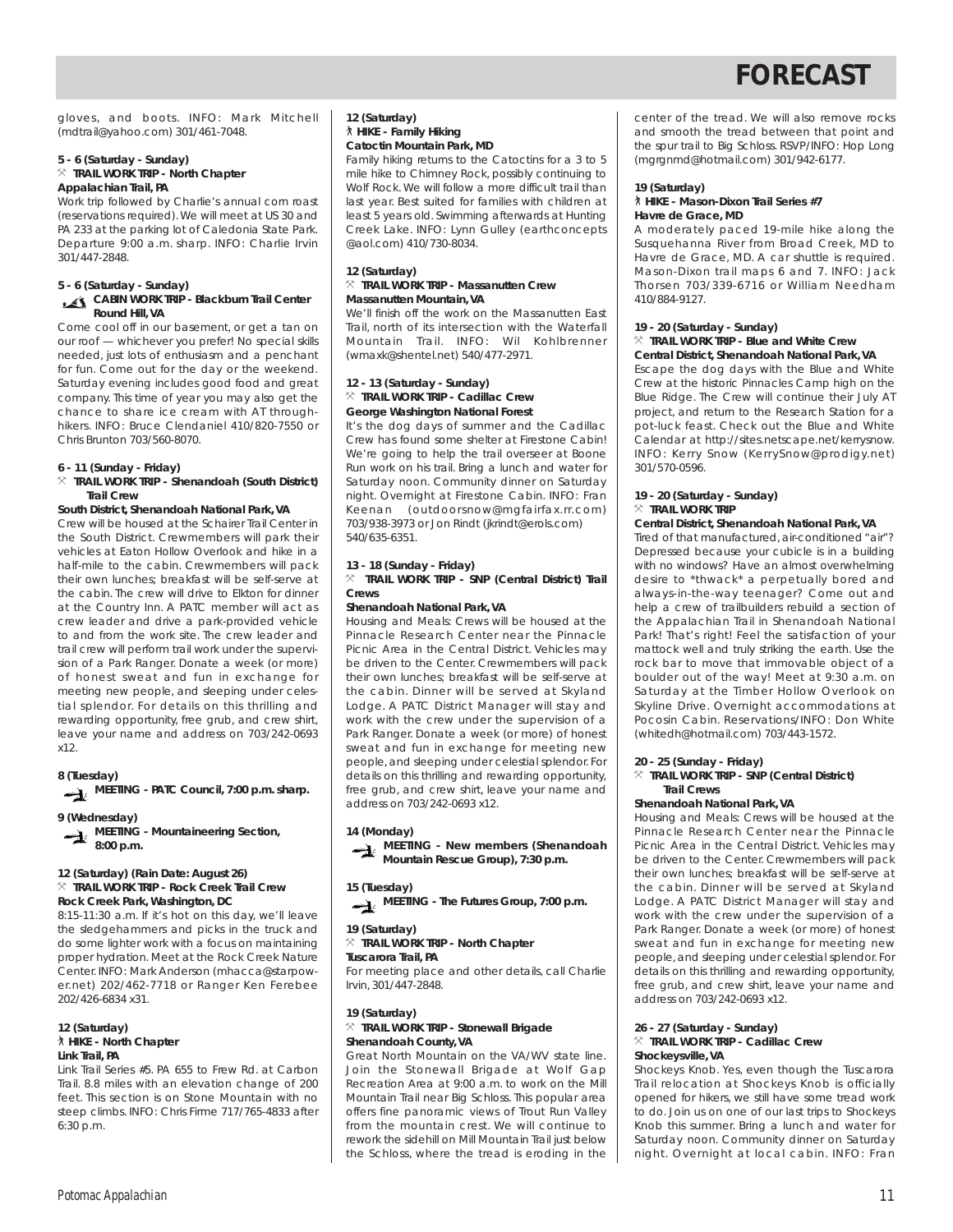gloves, and boots. INFO: Mark Mitchell (mdtrail@yahoo.com) 301/461-7048.

#### **5 - 6 (Saturday - Sunday)** } **TRAIL WORK TRIP - North Chapter Appalachian Trail, PA**

Work trip followed by Charlie's annual corn roast (reservations required). We will meet at US 30 and PA 233 at the parking lot of Caledonia State Park. Departure 9:00 a.m. sharp. INFO: Charlie Irvin 301/447-2848.

### **5 - 6 (Saturday - Sunday)**

#### **CABIN WORK TRIP - Blackburn Trail Center Round Hill, VA**

Come cool off in our basement, or get a tan on our roof — whichever you prefer! No special skills needed, just lots of enthusiasm and a penchant for fun. Come out for the day or the weekend. Saturday evening includes good food and great company. This time of year you may also get the chance to share ice cream with AT throughhikers. INFO: Bruce Clendaniel 410/820-7550 or Chris Brunton 703/560-8070.

#### **6 - 11 (Sunday - Friday)**

#### } **TRAIL WORK TRIP - Shenandoah (South District) Trail Crew**

#### **South District, Shenandoah National Park, VA**

Crew will be housed at the Schairer Trail Center in the South District. Crewmembers will park their vehicles at Eaton Hollow Overlook and hike in a half-mile to the cabin. Crewmembers will pack their own lunches; breakfast will be self-serve at the cabin. The crew will drive to Elkton for dinner at the Country Inn. A PATC member will act as crew leader and drive a park-provided vehicle to and from the work site. The crew leader and trail crew will perform trail work under the supervision of a Park Ranger. Donate a week (or more) of honest sweat and fun in exchange for meeting new people, and sleeping under celestial splendor. For details on this thrilling and rewarding opportunity, free grub, and crew shirt, leave your name and address on 703/242-0693 x12.

#### **8 (Tuesday)**

**MEETING - PATC Council, 7:00 p.m. sharp.**

#### **9 (Wednesday) MEETING - Mountaineering Section, 8:00 p.m.**

#### **12 (Saturday) (Rain Date: August 26)** } **TRAIL WORK TRIP - Rock Creek Trail Crew**

**Rock Creek Park, Washington, DC** 8:15-11:30 a.m. If it's hot on this day, we'll leave the sledgehammers and picks in the truck and do some lighter work with a focus on maintaining proper hydration. Meet at the Rock Creek Nature Center. INFO: Mark Anderson (mhacca@starpower.net) 202/462-7718 or Ranger Ken Ferebee 202/426-6834 x31.

#### **12 (Saturday)** ` **HIKE - North Chapter Link Trail, PA**

Link Trail Series #5. PA 655 to Frew Rd. at Carbon Trail. 8.8 miles with an elevation change of 200 feet. This section is on Stone Mountain with no steep climbs. INFO: Chris Firme 717/765-4833 after 6:30 p.m.

#### **12 (Saturday)** ` **HIKE - Family Hiking Catoctin Mountain Park, MD**

Family hiking returns to the Catoctins for a 3 to 5 mile hike to Chimney Rock, possibly continuing to Wolf Rock. We will follow a more difficult trail than last year. Best suited for families with children at least 5 years old. Swimming afterwards at Hunting Creek Lake. INFO: Lynn Gulley (earthconcepts @aol.com) 410/730-8034.

#### **12 (Saturday)** } **TRAIL WORK TRIP - Massanutten Crew Massanutten Mountain, VA**

We'll finish off the work on the Massanutten East Trail, north of its intersection with the Waterfall Mountain Trail. INFO: Wil Kohlbrenner (wmaxk@shentel.net) 540/477-2971.

#### **12 - 13 (Saturday - Sunday)** } **TRAIL WORK TRIP - Cadillac Crew George Washington National Forest**

It's the dog days of summer and the Cadillac Crew has found some shelter at Firestone Cabin! We're going to help the trail overseer at Boone Run work on his trail. Bring a lunch and water for Saturday noon. Community dinner on Saturday night. Overnight at Firestone Cabin. INFO: Fran Keenan (outdoorsnow@mgfairfax.rr.com) 703/938-3973 or Jon Rindt (jkrindt@erols.com) 540/635-6351.

### **13 - 18 (Sunday - Friday)**

} **TRAIL WORK TRIP - SNP (Central District) Trail Crews**

#### **Shenandoah National Park, VA**

Housing and Meals: Crews will be housed at the Pinnacle Research Center near the Pinnacle Picnic Area in the Central District. Vehicles may be driven to the Center. Crewmembers will pack their own lunches; breakfast will be self-serve at the cabin. Dinner will be served at Skyland Lodge. A PATC District Manager will stay and work with the crew under the supervision of a Park Ranger. Donate a week (or more) of honest sweat and fun in exchange for meeting new people,and sleeping under celestial splendor. For details on this thrilling and rewarding opportunity, free grub, and crew shirt, leave your name and address on 703/242-0693 x12.

#### **14 (Monday)**



#### **15 (Tuesday)**



#### **19 (Saturday)**

#### } **TRAIL WORK TRIP - North Chapter**

**Tuscarora Trail, PA** For meeting place and other details, call Charlie Irvin, 301/447-2848.

#### **19 (Saturday)** } **TRAIL WORK TRIP - Stonewall Brigade Shenandoah County, VA**

Great North Mountain on the VA/WV state line. Join the Stonewall Brigade at Wolf Gap Recreation Area at 9:00 a.m. to work on the Mill Mountain Trail near Big Schloss. This popular area offers fine panoramic views of Trout Run Valley from the mountain crest. We will continue to rework the sidehill on Mill Mountain Trail just below the Schloss, where the tread is eroding in the center of the tread. We will also remove rocks and smooth the tread between that point and the spur trail to Big Schloss. RSVP/INFO: Hop Long (mgrgnmd@hotmail.com) 301/942-6177.

#### **19 (Saturday)** ` **HIKE - Mason-Dixon Trail Series #7 Havre de Grace, MD**

A moderately paced 19-mile hike along the Susquehanna River from Broad Creek, MD to Havre de Grace, MD. A car shuttle is required. Mason-Dixon trail maps 6 and 7. INFO: Jack Thorsen 703/339-6716 or William Needham 410/884-9127.

#### **19 - 20 (Saturday - Sunday)** } **TRAIL WORK TRIP - Blue and White Crew**

**Central District, Shenandoah National Park, VA** Escape the dog days with the Blue and White Crew at the historic Pinnacles Camp high on the

Blue Ridge. The Crew will continue their July AT project, and return to the Research Station for a pot-luck feast. Check out the Blue and White Calendar at http://sites.netscape.net/kerrysnow. INFO: Kerry Snow (KerrySnow@prodigy.net) 301/570-0596.

#### **19 - 20 (Saturday - Sunday)**  $\times$  **TRAIL WORK TRIP**

#### **Central District, Shenandoah National Park, VA**

Tired of that manufactured, air-conditioned "air"? Depressed because your cubicle is in a building with no windows? Have an almost overwhelming desire to \*thwack\* a perpetually bored and always-in-the-way teenager? Come out and help a crew of trailbuilders rebuild a section of the Appalachian Trail in Shenandoah National Park! That's right! Feel the satisfaction of your mattock well and truly striking the earth. Use the rock bar to move that immovable object of a boulder out of the way! Meet at 9:30 a.m. on Saturday at the Timber Hollow Overlook on Skyline Drive. Overnight accommodations at Pocosin Cabin. Reservations/INFO: Don White (whitedh@hotmail.com) 703/443-1572.

#### **20 - 25 (Sunday - Friday)**

#### $%$  **TRAIL WORK TRIP - SNP (Central District) Trail Crews**

#### **Shenandoah National Park, VA**

Housing and Meals: Crews will be housed at the Pinnacle Research Center near the Pinnacle Picnic Area in the Central District. Vehicles may be driven to the Center. Crewmembers will pack their own lunches; breakfast will be self-serve at the cabin. Dinner will be served at Skyland Lodge. A PATC District Manager will stay and work with the crew under the supervision of a Park Ranger. Donate a week (or more) of honest sweat and fun in exchange for meeting new people,and sleeping under celestial splendor. For details on this thrilling and rewarding opportunity, free grub, and crew shirt, leave your name and address on 703/242-0693 x12.

#### **26 - 27 (Saturday - Sunday)** } **TRAIL WORK TRIP - Cadillac Crew Shockeysville, VA**

Shockeys Knob. Yes, even though the Tuscarora Trail relocation at Shockeys Knob is officially opened for hikers, we still have some tread work to do. Join us on one of our last trips to Shockeys Knob this summer. Bring a lunch and water for Saturday noon. Community dinner on Saturday night. Overnight at local cabin. INFO: Fran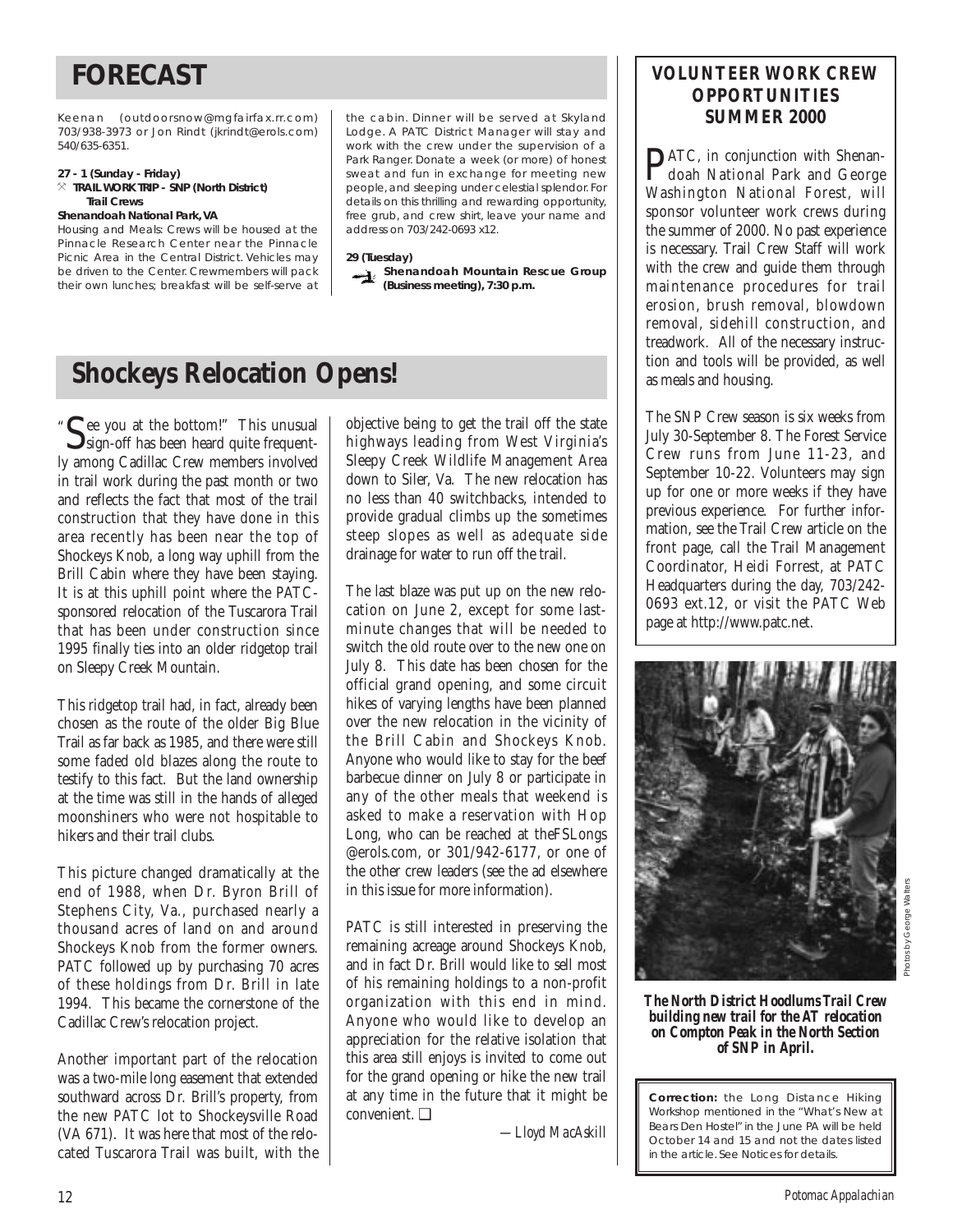Keenan (outdoorsnow@mgfairfax.rr.com) 703/938-3973 or Jon Rindt (jkrindt@erols.com) 540/635-6351.

#### **27 - 1 (Sunday - Friday)** } **TRAIL WORK TRIP - SNP (North District) Trail Crews**

#### **Shenandoah National Park, VA**

Housing and Meals: Crews will be housed at the Pinnacle Research Center near the Pinnacle Picnic Area in the Central District. Vehicles may be driven to the Center. Crewmembers will pack their own lunches; breakfast will be self-serve at the cabin. Dinner will be served at Skyland Lodge. A PATC District Manager will stay and work with the crew under the supervision of a Park Ranger. Donate a week (or more) of honest sweat and fun in exchange for meeting new people, and sleeping under celestial splendor. For details on this thrilling and rewarding opportunity, free grub, and crew shirt, leave your name and address on 703/242-0693 x12.

#### **29 (Tuesday)**

**Shenandoah Mountain Rescue Group** —ો **(Business meeting), 7:30 p.m.**

## **Shockeys Relocation Opens!**

See you at the bottom!" This unusual<br>Sign-off has been heard quite frequently among Cadillac Crew members involved in trail work during the past month or two and reflects the fact that most of the trail construction that they have done in this area recently has been near the top of Shockeys Knob, a long way uphill from the Brill Cabin where they have been staying. It is at this uphill point where the PATCsponsored relocation of the Tuscarora Trail that has been under construction since 1995 finally ties into an older ridgetop trail on Sleepy Creek Mountain. "

This ridgetop trail had, in fact, already been chosen as the route of the older Big Blue Trail as far back as 1985, and there were still some faded old blazes along the route to testify to this fact. But the land ownership at the time was still in the hands of alleged moonshiners who were not hospitable to hikers and their trail clubs.

This picture changed dramatically at the end of 1988, when Dr. Byron Brill of Stephens City, Va., purchased nearly a thousand acres of land on and around Shockeys Knob from the former owners. PATC followed up by purchasing 70 acres of these holdings from Dr. Brill in late 1994. This became the cornerstone of the Cadillac Crew's relocation project.

Another important part of the relocation was a two-mile long easement that extended southward across Dr. Brill's property, from the new PATC lot to Shockeysville Road (VA 671). It was here that most of the relocated Tuscarora Trail was built, with the objective being to get the trail off the state highways leading from West Virginia's Sleepy Creek Wildlife Management Area down to Siler, Va. The new relocation has no less than 40 switchbacks, intended to provide gradual climbs up the sometimes steep slopes as well as adequate side drainage for water to run off the trail.

The last blaze was put up on the new relocation on June 2, except for some lastminute changes that will be needed to switch the old route over to the new one on July 8. This date has been chosen for the official grand opening, and some circuit hikes of varying lengths have been planned over the new relocation in the vicinity of the Brill Cabin and Shockeys Knob. Anyone who would like to stay for the beef barbecue dinner on July 8 or participate in any of the other meals that weekend is asked to make a reservation with Hop Long, who can be reached at theFSLongs @erols.com, or 301/942-6177, or one of the other crew leaders (see the ad elsewhere in this issue for more information).

PATC is still interested in preserving the remaining acreage around Shockeys Knob, and in fact Dr. Brill would like to sell most of his remaining holdings to a non-profit organization with this end in mind. Anyone who would like to develop an appreciation for the relative isolation that this area still enjoys is invited to come out for the grand opening or hike the new trail at any time in the future that it might be convenient. ❑

*—Lloyd MacAskill*

### **VOLUNTEER WORK CREW OPPORTUNITIES SUMMER 2000**

PATC, in conjunction with Shenan-doah National Park and George Washington National Forest, will sponsor volunteer work crews during the summer of 2000. No past experience is necessary. Trail Crew Staff will work with the crew and guide them through maintenance procedures for trail erosion, brush removal, blowdown removal, sidehill construction, and treadwork. All of the necessary instruction and tools will be provided, as well as meals and housing.

The SNP Crew season is six weeks from July 30-September 8. The Forest Service Crew runs from June 11-23, and September 10-22. Volunteers may sign up for one or more weeks if they have previous experience. For further information, see the Trail Crew article on the front page, call the Trail Management Coordinator, Heidi Forrest, at PATC Headquarters during the day, 703/242- 0693 ext.12, or visit the PATC Web page at http://www.patc.net.



*The North District Hoodlums Trail Crew building new trail for the AT relocation on Compton Peak in the North Section of SNP in April.*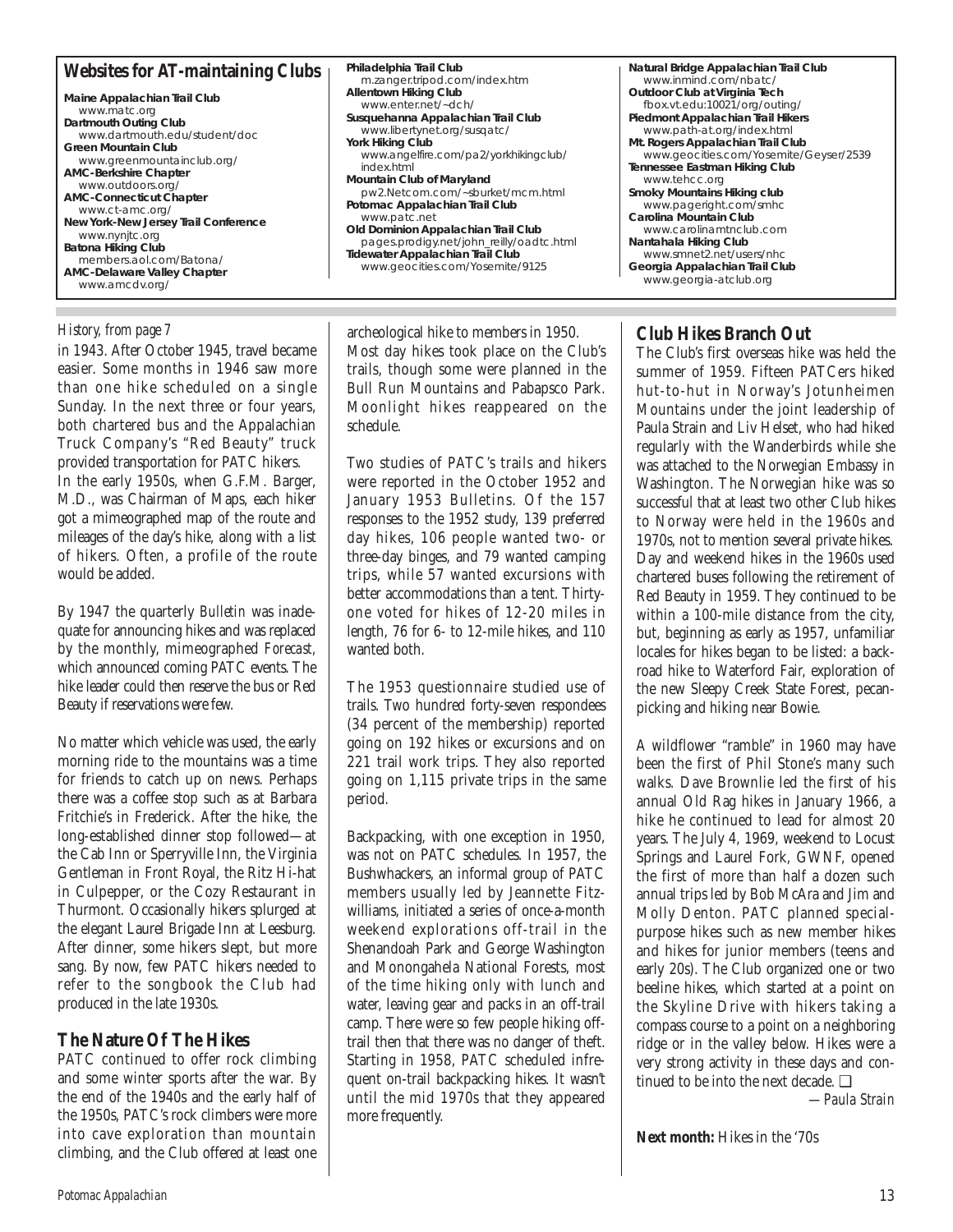### **Websites for AT-maintaining Clubs**

**Maine Appalachian Trail Club** www.matc.org **Dartmouth Outing Club** www.dartmouth.edu/student/doc **Green Mountain Club** www.greenmountainclub.org/ **AMC-Berkshire Chapter** www.outdoors.org/ **AMC-Connecticut Chapter** www.ct-amc.org/ **New York-New Jersey Trail Conference** www.nynjtc.org **Batona Hiking Club** members.aol.com/Batona/ **AMC-Delaware Valley Chapter** www.amcdv.org/

in 1943. After October 1945, travel became easier. Some months in 1946 saw more than one hike scheduled on a single Sunday. In the next three or four years, both chartered bus and the Appalachian Truck Company's "Red Beauty" truck provided transportation for PATC hikers. In the early 1950s, when G.F.M. Barger, M.D., was Chairman of Maps, each hiker got a mimeographed map of the route and mileages of the day's hike, along with a list of hikers. Often, a profile of the route would be added.

By 1947 the quarterly *Bulletin* was inadequate for announcing hikes and was replaced by the monthly, mimeographed *Forecast,* which announced coming PATC events. The hike leader could then reserve the bus or Red Beauty if reservations were few.

No matter which vehicle was used, the early morning ride to the mountains was a time for friends to catch up on news. Perhaps there was a coffee stop such as at Barbara Fritchie's in Frederick. After the hike, the long-established dinner stop followed—at the Cab Inn or Sperryville Inn, the Virginia Gentleman in Front Royal, the Ritz Hi-hat in Culpepper, or the Cozy Restaurant in Thurmont. Occasionally hikers splurged at the elegant Laurel Brigade Inn at Leesburg. After dinner, some hikers slept, but more sang. By now, few PATC hikers needed to refer to the songbook the Club had produced in the late 1930s.

### **The Nature Of The Hikes**

PATC continued to offer rock climbing and some winter sports after the war. By the end of the 1940s and the early half of the 1950s, PATC's rock climbers were more into cave exploration than mountain climbing, and the Club offered at least one

**Philadelphia Trail Club** m.zanger.tripod.com/index.htm **Allentown Hiking Club** www.enter.net/~dch/ **Susquehanna Appalachian Trail Club** www.libertynet.org/susqatc/ York Hiking Club www.angelfire.com/pa2/yorkhikingclub/ index.html **Mountain Club of Maryland** pw2.Netcom.com/~sburket/mcm.html **Potomac Appalachian Trail Club** www.patc.net **Old Dominion Appalachian Trail Club** pages.prodigy.net/john\_reilly/oadtc.html **Tidewater Appalachian Trail Club** www.geocities.com/Yosemite/9125

*History, from page 7* archeological hike to members in 1950. Most day hikes took place on the Club's trails, though some were planned in the Bull Run Mountains and Pabapsco Park. Moonlight hikes reappeared on the schedule.

> Two studies of PATC's trails and hikers were reported in the October 1952 and January 1953 Bulletins. Of the 157 responses to the 1952 study, 139 preferred day hikes, 106 people wanted two- or three-day binges, and 79 wanted camping trips, while 57 wanted excursions with better accommodations than a tent. Thirtyone voted for hikes of 12-20 miles in length, 76 for 6- to 12-mile hikes, and 110 wanted both.

> The 1953 questionnaire studied use of trails. Two hundred forty-seven respondees (34 percent of the membership) reported going on 192 hikes or excursions and on 221 trail work trips. They also reported going on 1,115 private trips in the same period.

> Backpacking, with one exception in 1950, was not on PATC schedules. In 1957, the Bushwhackers, an informal group of PATC members usually led by Jeannette Fitzwilliams, initiated a series of once-a-month weekend explorations off-trail in the Shenandoah Park and George Washington and Monongahela National Forests, most of the time hiking only with lunch and water, leaving gear and packs in an off-trail camp. There were so few people hiking offtrail then that there was no danger of theft. Starting in 1958, PATC scheduled infrequent on-trail backpacking hikes. It wasn't until the mid 1970s that they appeared more frequently.

**Natural Bridge Appalachian Trail Club** www.inmind.com/nbatc/ **Outdoor Club at Virginia Tech** fbox.vt.edu:10021/org/outing/ **Piedmont Appalachian Trail Hikers** www.path-at.org/index.html **Mt. Rogers Appalachian Trail Club** www.geocities.com/Yosemite/Geyser/2539 **Tennessee Eastman Hiking Club** www.tehcc.org **Smoky Mountains Hiking club** www.pageright.com/smhc **Carolina Mountain Club** www.carolinamtnclub.com **Nantahala Hiking Club** www.smnet2.net/users/nhc **Georgia Appalachian Trail Club** www.georgia-atclub.org

#### **Club Hikes Branch Out**

The Club's first overseas hike was held the summer of 1959. Fifteen PATCers hiked hut-to-hut in Norway's Jotunheimen Mountains under the joint leadership of Paula Strain and Liv Helset, who had hiked regularly with the Wanderbirds while she was attached to the Norwegian Embassy in Washington. The Norwegian hike was so successful that at least two other Club hikes to Norway were held in the 1960s and 1970s, not to mention several private hikes. Day and weekend hikes in the 1960s used chartered buses following the retirement of Red Beauty in 1959. They continued to be within a 100-mile distance from the city, but, beginning as early as 1957, unfamiliar locales for hikes began to be listed: a backroad hike to Waterford Fair, exploration of the new Sleepy Creek State Forest, pecanpicking and hiking near Bowie.

A wildflower "ramble" in 1960 may have been the first of Phil Stone's many such walks. Dave Brownlie led the first of his annual Old Rag hikes in January 1966, a hike he continued to lead for almost 20 years. The July 4, 1969, weekend to Locust Springs and Laurel Fork, GWNF, opened the first of more than half a dozen such annual trips led by Bob McAra and Jim and Molly Denton. PATC planned specialpurpose hikes such as new member hikes and hikes for junior members (teens and early 20s). The Club organized one or two beeline hikes, which started at a point on the Skyline Drive with hikers taking a compass course to a point on a neighboring ridge or in the valley below. Hikes were a very strong activity in these days and continued to be into the next decade. ❑

*—Paula Strain*

**Next month:** Hikes in the '70s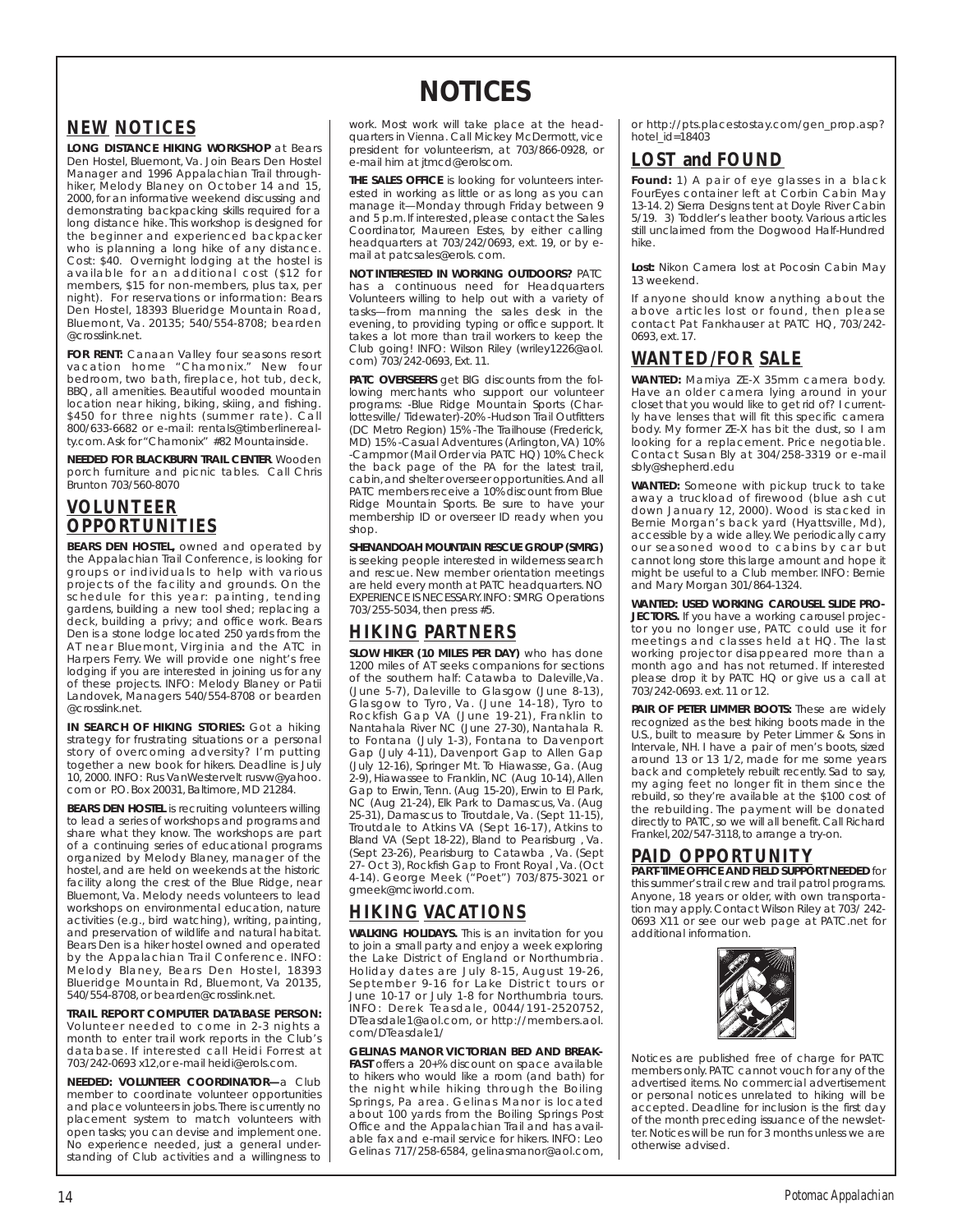## **NOTICES**

### **NEW NOTICES**

**LONG DISTANCE HIKING WORKSHOP** at Bears Den Hostel, Bluemont, Va. Join Bears Den Hostel Manager and 1996 Appalachian Trail throughhiker, Melody Blaney on October 14 and 15, 2000, for an informative weekend discussing and demonstrating backpacking skills required for a long distance hike. This workshop is designed for the beginner and experienced backpacker who is planning a long hike of any distance. Cost: \$40. Overnight lodging at the hostel is available for an additional cost (\$12 for members, \$15 for non-members, plus tax, per night). For reservations or information: Bears Den Hostel, 18393 Blueridge Mountain Road, Bluemont, Va. 20135; 540/554-8708; bearden @crosslink.net.

**FOR RENT:** Canaan Valley four seasons resort vacation home "Chamonix." New four bedroom, two bath, fireplace, hot tub, deck, BBQ, all amenities. Beautiful wooded mountain location near hiking, biking, skiing, and fishing. \$450 for three nights (summer rate). Call 800/633-6682 or e-mail: rentals@timberlinerealty.com.Ask for "Chamonix" #82 Mountainside.

**NEEDED FOR BLACKBURN TRAIL CENTER**. Wooden porch furniture and picnic tables. Call Chris Brunton 703/560-8070

### **VOLUNTEER OPPORTUNITIES**

**BEARS DEN HOSTEL,** owned and operated by the Appalachian Trail Conference, is looking for groups or individuals to help with various projects of the facility and grounds. On the schedule for this year: painting, tending gardens, building a new tool shed; replacing a deck, building a privy; and office work. Bears Den is a stone lodge located 250 yards from the AT near Bluemont, Virginia and the ATC in Harpers Ferry. We will provide one night's free lodging if you are interested in joining us for any of these projects. INFO: Melody Blaney or Patii Landovek, Managers 540/554-8708 or bearden @crosslink.net.

**IN SEARCH OF HIKING STORIES:** Got a hiking strategy for frustrating situations or a personal story of overcoming adversity? I'm putting together a new book for hikers. Deadline is July 10, 2000. INFO: Rus VanWestervelt rusvw@yahoo. com or P.O. Box 20031, Baltimore, MD 21284.

**BEARS DEN HOSTEL** is recruiting volunteers willing to lead a series of workshops and programs and share what they know. The workshops are part of a continuing series of educational programs organized by Melody Blaney, manager of the hostel, and are held on weekends at the historic facility along the crest of the Blue Ridge, near Bluemont, Va. Melody needs volunteers to lead workshops on environmental education, nature activities (e.g., bird watching), writing, painting, and preservation of wildlife and natural habitat. Bears Den is a hiker hostel owned and operated by the Appalachian Trail Conference. INFO: Melody Blaney, Bears Den Hostel, 18393 Blueridge Mountain Rd, Bluemont, Va 20135, 540/554-8708, or bearden@crosslink.net.

**TRAIL REPORT COMPUTER DATABASE PERSON:** Volunteer needed to come in 2-3 nights a month to enter trail work reports in the Club's database. If interested call Heidi Forrest at 703/242-0693 x12,or e-mail heidi@erols.com.

**NEEDED: VOLUNTEER COORDINATOR—**a Club member to coordinate volunteer opportunities and place volunteers in jobs. There is currently no placement system to match volunteers with open tasks; you can devise and implement one. No experience needed, just a general understanding of Club activities and a willingness to work. Most work will take place at the headquarters in Vienna. Call Mickey McDermott, vice president for volunteerism, at 703/866-0928, or e-mail him at itmcd@erolscom.

**THE SALES OFFICE** is looking for volunteers interested in working as little or as long as you can manage it—Monday through Friday between 9 and 5 p.m. If interested,please contact the Sales Coordinator, Maureen Estes, by either calling headquarters at 703/242/0693, ext. 19, or by email at patcsales@erols. com.

**NOT INTERESTED IN WORKING OUTDOORS?** PATC has a continuous need for Headquarters Volunteers willing to help out with a variety of tasks—from manning the sales desk in the evening, to providing typing or office support. It takes a lot more than trail workers to keep the Club going! INFO: Wilson Riley (wriley1226@aol. com) 703/242-0693, Ext. 11.

**PATC OVERSEERS** get BIG discounts from the following merchants who support our volunteer programs: -Blue Ridge Mountain Sports (Charlottesville/ Tidewater)-20% -Hudson Trail Outfitters (DC Metro Region) 15% -The Trailhouse (Frederick, MD) 15% -Casual Adventures (Arlington, VA) 10% -Campmor (Mail Order via PATC HQ) 10%. Check the back page of the PA for the latest trail, cabin,and shelter overseer opportunities.And all PATC members receive a 10% discount from Blue Ridge Mountain Sports. Be sure to have your membership ID or overseer ID ready when you shop.

**SHENANDOAH MOUNTAIN RESCUE GROUP (SMRG)** is seeking people interested in wilderness search and rescue. New member orientation meetings are held every month at PATC headquarters. NO EXPERIENCE IS NECESSARY.INFO: SMRG Operations 703/255-5034, then press #5.

### **HIKING PARTNERS**

**SLOW HIKER (10 MILES PER DAY)** who has done 1200 miles of AT seeks companions for sections of the southern half: Catawba to Daleville,Va. (June 5-7), Daleville to Glasgow (June 8-13), Glasgow to Tyro, Va. (June 14-18), Tyro to Rockfish Gap VA (June 19-21), Franklin to Nantahala River NC (June 27-30), Nantahala R. to Fontana (July 1-3), Fontana to Davenport Gap (July 4-11), Davenport Gap to Allen Gap (July 12-16), Springer Mt. To Hiawasse, Ga. (Aug 2-9), Hiawassee to Franklin, NC (Aug 10-14), Allen Gap to Erwin, Tenn. (Aug 15-20), Erwin to El Park, NC (Aug 21-24), Elk Park to Damascus, Va. (Aug 25-31), Damascus to Troutdale, Va. (Sept 11-15), Troutdale to Atkins VA (Sept 16-17), Atkins to Bland VA (Sept 18-22), Bland to Pearisburg , Va. (Sept 23-26), Pearisburg to Catawba , Va. (Sept 27- Oct 3), Rockfish Gap to Front Royal , Va. (Oct 4-14). George Meek ("Poet") 703/875-3021 or gmeek@mciworld.com.

### **HIKING VACATIONS**

**WALKING HOLIDAYS.** This is an invitation for you to join a small party and enjoy a week exploring the Lake District of England or Northumbria. Holiday dates are July 8-15, August 19-26, September 9-16 for Lake District tours or June 10-17 or July 1-8 for Northumbria tours. INFO: Derek Teasdale, 0044/191-2520752, DTeasdale1@aol.com, or http://members.aol. com/DTeasdale1/

**GELINAS MANOR VICTORIAN BED AND BREAK-FAST** offers a 20+% discount on space available to hikers who would like a room (and bath) for the night while hiking through the Boiling Springs, Pa area. Gelinas Manor is located about 100 yards from the Boiling Springs Post Office and the Appalachian Trail and has available fax and e-mail service for hikers. INFO: Leo Gelinas 717/258-6584, gelinasmanor@aol.com,

or http://pts.placestostay.com/gen\_prop.asp? hotel  $id=18403$ 

### **LOST and FOUND**

**Found:** 1) A pair of eye glasses in a black FourEyes container left at Corbin Cabin May 13-14. 2) Sierra Designs tent at Doyle River Cabin 5/19. 3) Toddler's leather booty. Various articles still unclaimed from the Dogwood Half-Hundred hike.

**Lost:** Nikon Camera lost at Pocosin Cabin May 13 weekend.

If anyone should know anything about the above articles lost or found, then please contact Pat Fankhauser at PATC HQ, 703/242- 0693, ext. 17.

### **WANTED/FOR SALE**

**WANTED:** Mamiya ZE-X 35mm camera body. Have an older camera lying around in your closet that you would like to get rid of? I currently have lenses that will fit this specific camera body. My former ZE-X has bit the dust, so I am looking for a replacement. Price negotiable. Contact Susan Bly at 304/258-3319 or e-mail sbly@shepherd.edu

**WANTED:** Someone with pickup truck to take away a truckload of firewood (blue ash cut down January 12, 2000). Wood is stacked in Bernie Morgan's back yard (Hyattsville, Md), accessible by a wide alley.We periodically carry our seasoned wood to cabins by car but cannot long store this large amount and hope it might be useful to a Club member. INFO: Bernie and Mary Morgan 301/864-1324.

**WANTED: USED WORKING CAROUSEL SLIDE PRO-JECTORS.** If you have a working carousel projector you no longer use, PATC could use it for meetings and classes held at HQ. The last working projector disappeared more than a month ago and has not returned. If interested please drop it by PATC HQ or give us a call at 703/242-0693. ext. 11 or 12.

**PAIR OF PETER LIMMER BOOTS:** These are widely recognized as the best hiking boots made in the U.S., built to measure by Peter Limmer & Sons in Intervale, NH. I have a pair of men's boots, sized around 13 or 13 1/2, made for me some years back and completely rebuilt recently. Sad to say, my aging feet no longer fit in them since the rebuild, so they're available at the \$100 cost of the rebuilding. The payment will be donated directly to PATC, so we will all benefit. Call Richard Frankel,202/547-3118,to arrange a try-on.

## **PAID OPPORTUNITY PART-TIME OFFICE AND FIELD SUPPORT NEEDED** for

this summer's trail crew and trail patrol programs. Anyone, 18 years or older, with own transportation may apply. Contact Wilson Riley at 703/ 242- 0693 X11 or see our web page at PATC.net for additional information.



*Notices are published free of charge for PATC members only. PATC cannot vouch for any of the advertised items. No commercial advertisement or personal notices unrelated to hiking will be accepted. Deadline for inclusion is the first day of the month preceding issuance of the newsletter. Notices will be run for 3 months unless we are otherwise advised.*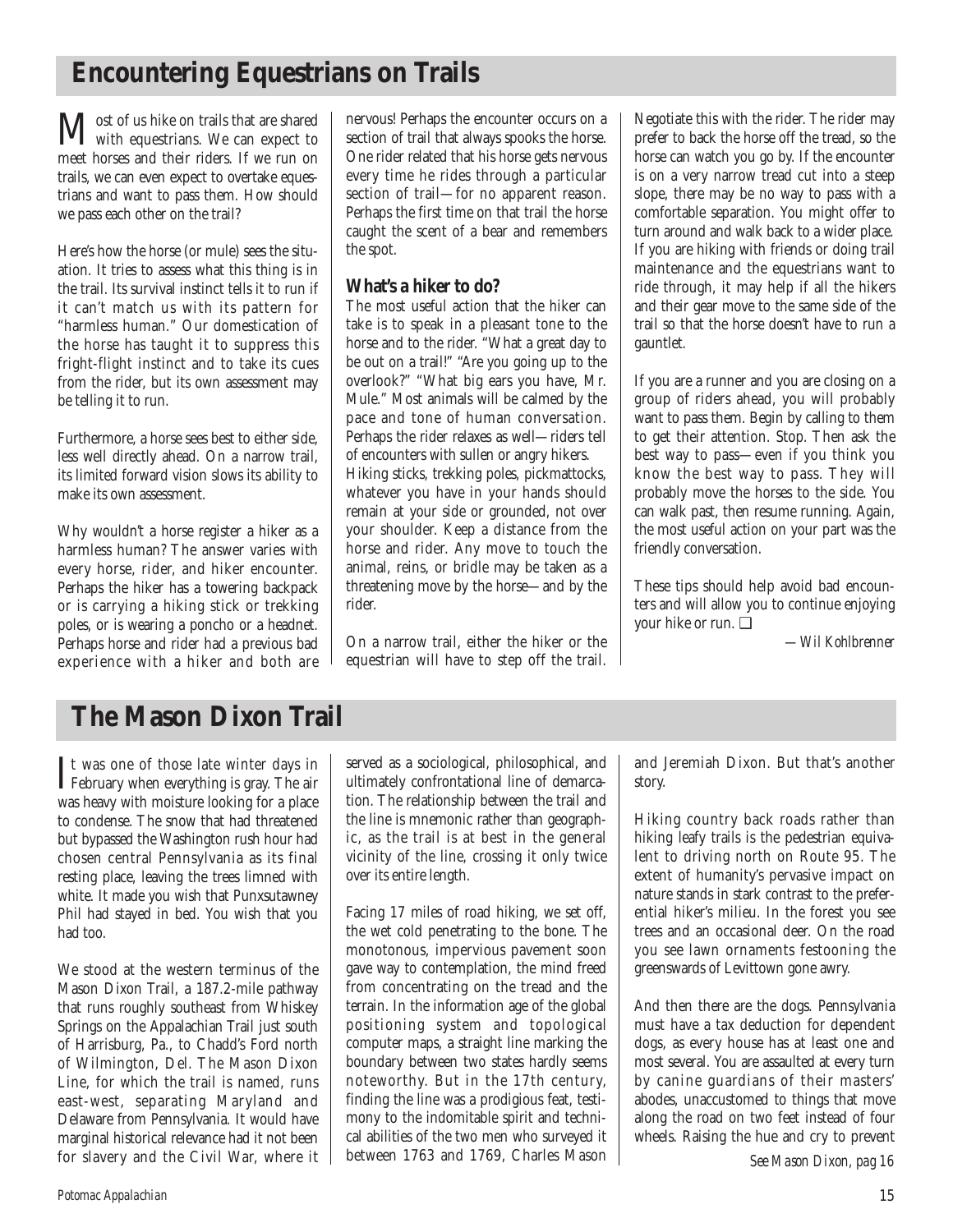## **Encountering Equestrians on Trails**

**M**ost of us hike on trails that are shared<br>with equestrians. We can expect to meet horses and their riders. If we run on trails, we can even expect to overtake equestrians and want to pass them. How should we pass each other on the trail?

Here's how the horse (or mule) sees the situation. It tries to assess what this thing is in the trail. Its survival instinct tells it to run if it can't match us with its pattern for "harmless human." Our domestication of the horse has taught it to suppress this fright-flight instinct and to take its cues from the rider, but its own assessment may be telling it to run.

Furthermore, a horse sees best to either side, less well directly ahead. On a narrow trail, its limited forward vision slows its ability to make its own assessment.

Why wouldn't a horse register a hiker as a harmless human? The answer varies with every horse, rider, and hiker encounter. Perhaps the hiker has a towering backpack or is carrying a hiking stick or trekking poles, or is wearing a poncho or a headnet. Perhaps horse and rider had a previous bad experience with a hiker and both are

nervous! Perhaps the encounter occurs on a section of trail that always spooks the horse. One rider related that his horse gets nervous every time he rides through a particular section of trail—for no apparent reason. Perhaps the first time on that trail the horse caught the scent of a bear and remembers the spot.

### **What's a hiker to do?**

The most useful action that the hiker can take is to speak in a pleasant tone to the horse and to the rider. "What a great day to be out on a trail!" "Are you going up to the overlook?" "What big ears you have, Mr. Mule." Most animals will be calmed by the pace and tone of human conversation. Perhaps the rider relaxes as well—riders tell of encounters with sullen or angry hikers. Hiking sticks, trekking poles, pickmattocks,

whatever you have in your hands should remain at your side or grounded, not over your shoulder. Keep a distance from the horse and rider. Any move to touch the animal, reins, or bridle may be taken as a threatening move by the horse—and by the rider.

On a narrow trail, either the hiker or the equestrian will have to step off the trail.

Negotiate this with the rider. The rider may prefer to back the horse off the tread, so the horse can watch you go by. If the encounter is on a very narrow tread cut into a steep slope, there may be no way to pass with a comfortable separation. You might offer to turn around and walk back to a wider place. If you are hiking with friends or doing trail maintenance and the equestrians want to ride through, it may help if all the hikers and their gear move to the same side of the trail so that the horse doesn't have to run a gauntlet.

If you are a runner and you are closing on a group of riders ahead, you will probably want to pass them. Begin by calling to them to get their attention. Stop. Then ask the best way to pass—even if you think you know the best way to pass. They will probably move the horses to the side. You can walk past, then resume running. Again, the most useful action on your part was the friendly conversation.

These tips should help avoid bad encounters and will allow you to continue enjoying your hike or run. ❑

*—Wil Kohlbrenner*

## **The Mason Dixon Trail**

It was one of those late winter days in<br>February when everything is gray. The air February when everything is gray. The air was heavy with moisture looking for a place to condense. The snow that had threatened but bypassed the Washington rush hour had chosen central Pennsylvania as its final resting place, leaving the trees limned with white. It made you wish that Punxsutawney Phil had stayed in bed. You wish that you had too.

We stood at the western terminus of the Mason Dixon Trail, a 187.2-mile pathway that runs roughly southeast from Whiskey Springs on the Appalachian Trail just south of Harrisburg, Pa., to Chadd's Ford north of Wilmington, Del. The Mason Dixon Line, for which the trail is named, runs east-west, separating Maryland and Delaware from Pennsylvania. It would have marginal historical relevance had it not been for slavery and the Civil War, where it served as a sociological, philosophical, and ultimately confrontational line of demarcation. The relationship between the trail and the line is mnemonic rather than geographic, as the trail is at best in the general vicinity of the line, crossing it only twice over its entire length.

Facing 17 miles of road hiking, we set off, the wet cold penetrating to the bone. The monotonous, impervious pavement soon gave way to contemplation, the mind freed from concentrating on the tread and the terrain. In the information age of the global positioning system and topological computer maps, a straight line marking the boundary between two states hardly seems noteworthy. But in the 17th century, finding the line was a prodigious feat, testimony to the indomitable spirit and technical abilities of the two men who surveyed it between 1763 and 1769, Charles Mason and Jeremiah Dixon. But that's another story.

Hiking country back roads rather than hiking leafy trails is the pedestrian equivalent to driving north on Route 95. The extent of humanity's pervasive impact on nature stands in stark contrast to the preferential hiker's milieu. In the forest you see trees and an occasional deer. On the road you see lawn ornaments festooning the greenswards of Levittown gone awry.

And then there are the dogs. Pennsylvania must have a tax deduction for dependent dogs, as every house has at least one and most several. You are assaulted at every turn by canine guardians of their masters' abodes, unaccustomed to things that move along the road on two feet instead of four wheels. Raising the hue and cry to prevent

*See Mason Dixon, pag 16*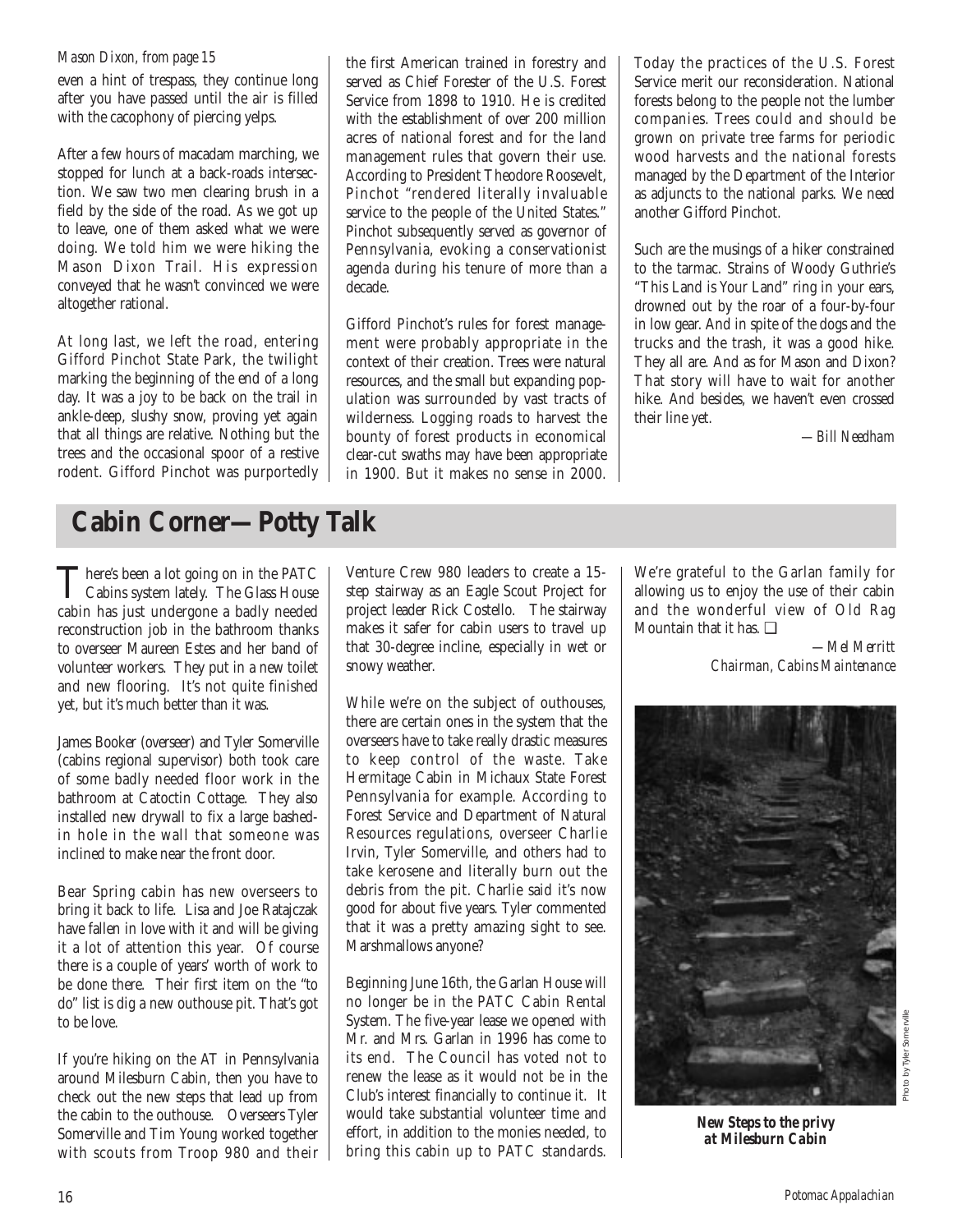### *Mason Dixon, from page 15*

even a hint of trespass, they continue long after you have passed until the air is filled with the cacophony of piercing yelps.

After a few hours of macadam marching, we stopped for lunch at a back-roads intersection. We saw two men clearing brush in a field by the side of the road. As we got up to leave, one of them asked what we were doing. We told him we were hiking the Mason Dixon Trail. His expression conveyed that he wasn't convinced we were altogether rational.

At long last, we left the road, entering Gifford Pinchot State Park, the twilight marking the beginning of the end of a long day. It was a joy to be back on the trail in ankle-deep, slushy snow, proving yet again that all things are relative. Nothing but the trees and the occasional spoor of a restive rodent. Gifford Pinchot was purportedly the first American trained in forestry and served as Chief Forester of the U.S. Forest Service from 1898 to 1910. He is credited with the establishment of over 200 million acres of national forest and for the land management rules that govern their use. According to President Theodore Roosevelt, Pinchot "rendered literally invaluable service to the people of the United States." Pinchot subsequently served as governor of Pennsylvania, evoking a conservationist agenda during his tenure of more than a decade.

Gifford Pinchot's rules for forest management were probably appropriate in the context of their creation. Trees were natural resources, and the small but expanding population was surrounded by vast tracts of wilderness. Logging roads to harvest the bounty of forest products in economical clear-cut swaths may have been appropriate in 1900. But it makes no sense in 2000. Today the practices of the U.S. Forest Service merit our reconsideration. National forests belong to the people not the lumber companies. Trees could and should be grown on private tree farms for periodic wood harvests and the national forests managed by the Department of the Interior as adjuncts to the national parks. We need another Gifford Pinchot.

Such are the musings of a hiker constrained to the tarmac. Strains of Woody Guthrie's "This Land is Your Land" ring in your ears, drowned out by the roar of a four-by-four in low gear. And in spite of the dogs and the trucks and the trash, it was a good hike. They all are. And as for Mason and Dixon? That story will have to wait for another hike. And besides, we haven't even crossed their line yet.

*—Bill Needham*

## **Cabin Corner—Potty Talk**

There's been a lot going on in the PATC<br>Cabins system lately. The Glass House cabin has just undergone a badly needed reconstruction job in the bathroom thanks to overseer Maureen Estes and her band of volunteer workers. They put in a new toilet and new flooring. It's not quite finished yet, but it's much better than it was.

James Booker (overseer) and Tyler Somerville (cabins regional supervisor) both took care of some badly needed floor work in the bathroom at Catoctin Cottage. They also installed new drywall to fix a large bashedin hole in the wall that someone was inclined to make near the front door.

Bear Spring cabin has new overseers to bring it back to life. Lisa and Joe Ratajczak have fallen in love with it and will be giving it a lot of attention this year. Of course there is a couple of years' worth of work to be done there. Their first item on the "to do" list is dig a new outhouse pit. That's got to be love.

If you're hiking on the AT in Pennsylvania around Milesburn Cabin, then you have to check out the new steps that lead up from the cabin to the outhouse. Overseers Tyler Somerville and Tim Young worked together with scouts from Troop 980 and their Venture Crew 980 leaders to create a 15 step stairway as an Eagle Scout Project for project leader Rick Costello. The stairway makes it safer for cabin users to travel up that 30-degree incline, especially in wet or snowy weather.

While we're on the subject of outhouses, there are certain ones in the system that the overseers have to take really drastic measures to keep control of the waste. Take Hermitage Cabin in Michaux State Forest Pennsylvania for example. According to Forest Service and Department of Natural Resources regulations, overseer Charlie Irvin, Tyler Somerville, and others had to take kerosene and literally burn out the debris from the pit. Charlie said it's now good for about five years. Tyler commented that it was a pretty amazing sight to see. Marshmallows anyone?

Beginning June 16th, the Garlan House will no longer be in the PATC Cabin Rental System. The five-year lease we opened with Mr. and Mrs. Garlan in 1996 has come to its end. The Council has voted not to renew the lease as it would not be in the Club's interest financially to continue it. It would take substantial volunteer time and effort, in addition to the monies needed, to bring this cabin up to PATC standards. We're grateful to the Garlan family for allowing us to enjoy the use of their cabin and the wonderful view of Old Rag Mountain that it has  $\Box$ 

> *—Mel Merritt Chairman, Cabins Maintenance*



*New Steps to the privy at Milesburn Cabin*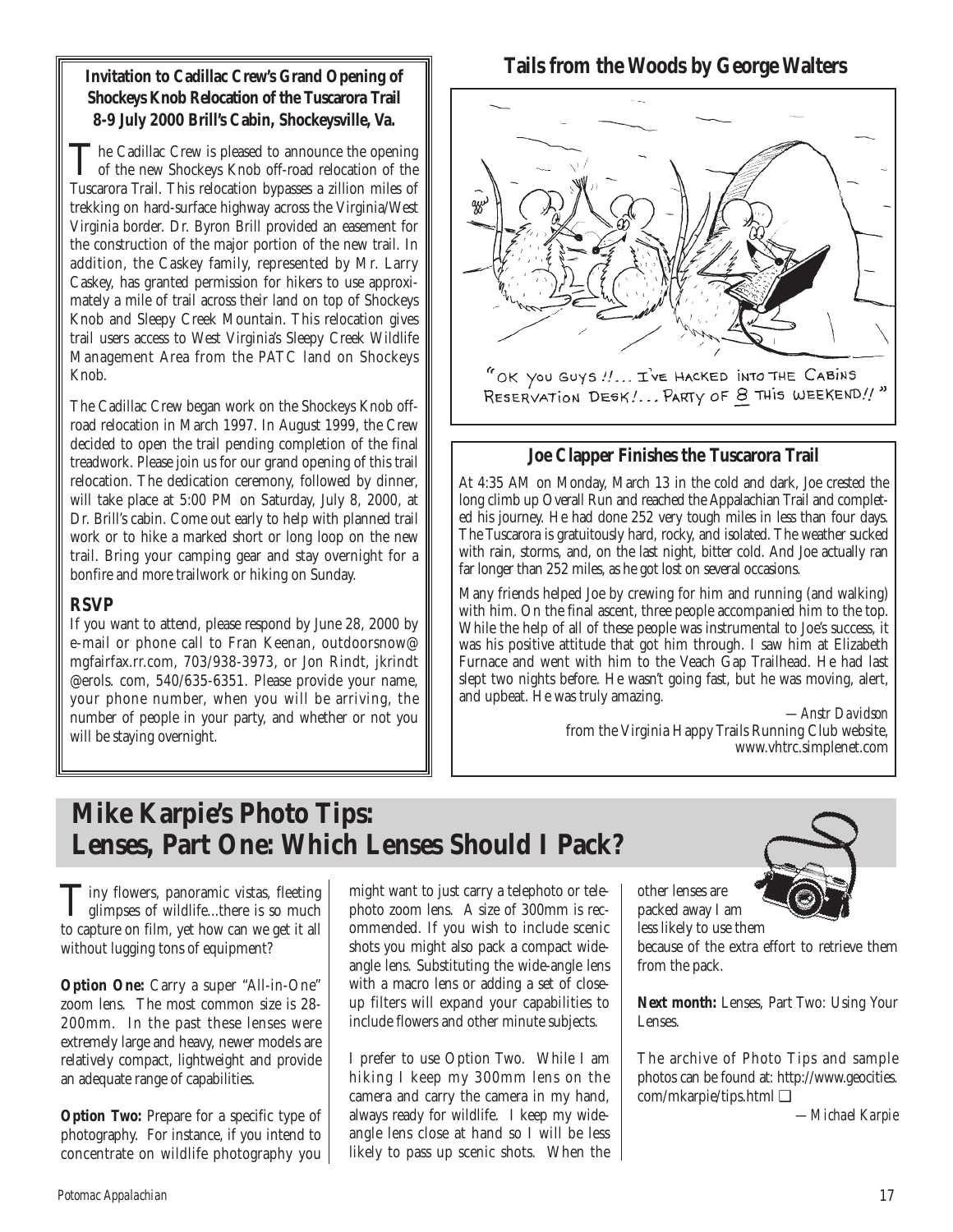**Invitation to Cadillac Crew's Grand Opening of Shockeys Knob Relocation of the Tuscarora Trail 8-9 July 2000 Brill's Cabin, Shockeysville, Va.**

The Cadillac Crew is pleased to announce the opening<br>of the new Shockeys Knob off-road relocation of the<br>Theorems Thil This planting hyperges a silling will add Tuscarora Trail. This relocation bypasses a zillion miles of trekking on hard-surface highway across the Virginia/West Virginia border. Dr. Byron Brill provided an easement for the construction of the major portion of the new trail. In addition, the Caskey family, represented by Mr. Larry Caskey, has granted permission for hikers to use approximately a mile of trail across their land on top of Shockeys Knob and Sleepy Creek Mountain. This relocation gives trail users access to West Virginia's Sleepy Creek Wildlife Management Area from the PATC land on Shockeys Knob.

The Cadillac Crew began work on the Shockeys Knob offroad relocation in March 1997. In August 1999, the Crew decided to open the trail pending completion of the final treadwork. Please join us for our grand opening of this trail relocation. The dedication ceremony, followed by dinner, will take place at 5:00 PM on Saturday, July 8, 2000, at Dr. Brill's cabin. Come out early to help with planned trail work or to hike a marked short or long loop on the new trail. Bring your camping gear and stay overnight for a bonfire and more trailwork or hiking on Sunday.

### **RSVP**

If you want to attend, please respond by June 28, 2000 by e-mail or phone call to Fran Keenan, outdoorsnow@ mgfairfax.rr.com, 703/938-3973, or Jon Rindt, jkrindt @erols. com, 540/635-6351. Please provide your name, your phone number, when you will be arriving, the number of people in your party, and whether or not you will be staying overnight.

### **Tails from the Woods by George Walters**



### **Joe Clapper Finishes the Tuscarora Trail**

At 4:35 AM on Monday, March 13 in the cold and dark, Joe crested the long climb up Overall Run and reached the Appalachian Trail and completed his journey. He had done 252 very tough miles in less than four days. The Tuscarora is gratuitously hard, rocky, and isolated. The weather sucked with rain, storms, and, on the last night, bitter cold. And Joe actually ran far longer than 252 miles, as he got lost on several occasions.

Many friends helped Joe by crewing for him and running (and walking) with him. On the final ascent, three people accompanied him to the top. While the help of all of these people was instrumental to Joe's success, it was his positive attitude that got him through. I saw him at Elizabeth Furnace and went with him to the Veach Gap Trailhead. He had last slept two nights before. He wasn't going fast, but he was moving, alert, and upbeat. He was truly amazing.

*—Anstr Davidson* from the Virginia Happy Trails Running Club website, www.vhtrc.simplenet.com

## **Mike Karpie's Photo Tips: Lenses, Part One: Which Lenses Should I Pack?**

**T**iny flowers, panoramic vistas, fleeting<br>glimpses of wildlife...there is so much<br>the partner of film and handlen and at the all to capture on film, yet how can we get it all without lugging tons of equipment?

**Option One:** Carry a super "All-in-One" zoom lens. The most common size is 28- 200mm. In the past these lenses were extremely large and heavy, newer models are relatively compact, lightweight and provide an adequate range of capabilities.

**Option Two:** Prepare for a specific type of photography. For instance, if you intend to concentrate on wildlife photography you

might want to just carry a telephoto or telephoto zoom lens. A size of 300mm is recommended. If you wish to include scenic shots you might also pack a compact wideangle lens. Substituting the wide-angle lens with a macro lens or adding a set of closeup filters will expand your capabilities to include flowers and other minute subjects.

I prefer to use Option Two. While I am hiking I keep my 300mm lens on the camera and carry the camera in my hand, always ready for wildlife. I keep my wideangle lens close at hand so I will be less likely to pass up scenic shots. When the



other lenses are packed away I am less likely to use them because of the extra effort to retrieve them from the pack.

**Next month:** Lenses, Part Two: Using Your Lenses.

The archive of Photo Tips and sample photos can be found at: http://www.geocities. com/mkarpie/tips.html ❑

*—Michael Karpie*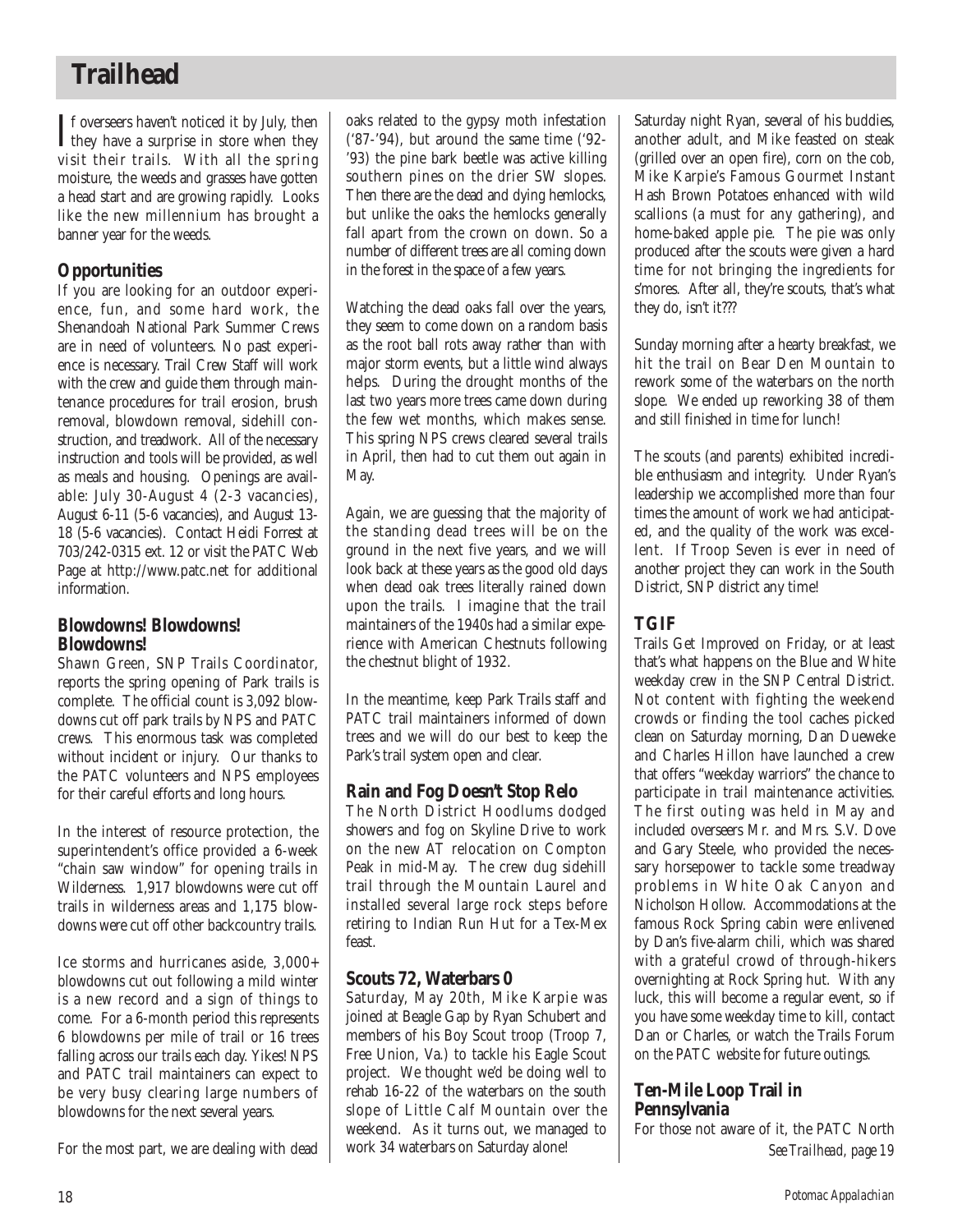## **Trailhead**

 $\prod$  f overseers haven't noticed it by July, then<br>they have a surprise in store when they they have a surprise in store when they visit their trails. With all the spring moisture, the weeds and grasses have gotten a head start and are growing rapidly. Looks like the new millennium has brought a banner year for the weeds.

### **Opportunities**

If you are looking for an outdoor experience, fun, and some hard work, the Shenandoah National Park Summer Crews are in need of volunteers. No past experience is necessary. Trail Crew Staff will work with the crew and guide them through maintenance procedures for trail erosion, brush removal, blowdown removal, sidehill construction, and treadwork. All of the necessary instruction and tools will be provided, as well as meals and housing. Openings are available: July 30-August 4 (2-3 vacancies), August 6-11 (5-6 vacancies), and August 13- 18 (5-6 vacancies). Contact Heidi Forrest at 703/242-0315 ext. 12 or visit the PATC Web Page at http://www.patc.net for additional information.

### **Blowdowns! Blowdowns! Blowdowns!**

Shawn Green, SNP Trails Coordinator, reports the spring opening of Park trails is complete. The official count is 3,092 blowdowns cut off park trails by NPS and PATC crews. This enormous task was completed without incident or injury. Our thanks to the PATC volunteers and NPS employees for their careful efforts and long hours.

In the interest of resource protection, the superintendent's office provided a 6-week "chain saw window" for opening trails in Wilderness. 1,917 blowdowns were cut off trails in wilderness areas and 1,175 blowdowns were cut off other backcountry trails.

Ice storms and hurricanes aside, 3,000+ blowdowns cut out following a mild winter is a new record and a sign of things to come. For a 6-month period this represents 6 blowdowns per mile of trail or 16 trees falling across our trails each day. Yikes! NPS and PATC trail maintainers can expect to be very busy clearing large numbers of blowdowns for the next several years.

For the most part, we are dealing with dead

oaks related to the gypsy moth infestation ('87-'94), but around the same time ('92- '93) the pine bark beetle was active killing southern pines on the drier SW slopes. Then there are the dead and dying hemlocks, but unlike the oaks the hemlocks generally fall apart from the crown on down. So a number of different trees are all coming down in the forest in the space of a few years.

Watching the dead oaks fall over the years, they seem to come down on a random basis as the root ball rots away rather than with major storm events, but a little wind always helps. During the drought months of the last two years more trees came down during the few wet months, which makes sense. This spring NPS crews cleared several trails in April, then had to cut them out again in May.

Again, we are guessing that the majority of the standing dead trees will be on the ground in the next five years, and we will look back at these years as the good old days when dead oak trees literally rained down upon the trails. I imagine that the trail maintainers of the 1940s had a similar experience with American Chestnuts following the chestnut blight of 1932.

In the meantime, keep Park Trails staff and PATC trail maintainers informed of down trees and we will do our best to keep the Park's trail system open and clear.

### **Rain and Fog Doesn't Stop Relo**

The North District Hoodlums dodged showers and fog on Skyline Drive to work on the new AT relocation on Compton Peak in mid-May. The crew dug sidehill trail through the Mountain Laurel and installed several large rock steps before retiring to Indian Run Hut for a Tex-Mex feast.

### **Scouts 72, Waterbars 0**

Saturday, May 20th, Mike Karpie was joined at Beagle Gap by Ryan Schubert and members of his Boy Scout troop (Troop 7, Free Union, Va.) to tackle his Eagle Scout project. We thought we'd be doing well to rehab 16-22 of the waterbars on the south slope of Little Calf Mountain over the weekend. As it turns out, we managed to work 34 waterbars on Saturday alone!

Saturday night Ryan, several of his buddies, another adult, and Mike feasted on steak (grilled over an open fire), corn on the cob, Mike Karpie's Famous Gourmet Instant Hash Brown Potatoes enhanced with wild scallions (a must for any gathering), and home-baked apple pie. The pie was only produced after the scouts were given a hard time for not bringing the ingredients for s'mores. After all, they're scouts, that's what they do, isn't it???

Sunday morning after a hearty breakfast, we hit the trail on Bear Den Mountain to rework some of the waterbars on the north slope. We ended up reworking 38 of them and still finished in time for lunch!

The scouts (and parents) exhibited incredible enthusiasm and integrity. Under Ryan's leadership we accomplished more than four times the amount of work we had anticipated, and the quality of the work was excellent. If Troop Seven is ever in need of another project they can work in the South District, SNP district any time!

### **TGIF**

Trails Get Improved on Friday, or at least that's what happens on the Blue and White weekday crew in the SNP Central District. Not content with fighting the weekend crowds or finding the tool caches picked clean on Saturday morning, Dan Dueweke and Charles Hillon have launched a crew that offers "weekday warriors" the chance to participate in trail maintenance activities. The first outing was held in May and included overseers Mr. and Mrs. S.V. Dove and Gary Steele, who provided the necessary horsepower to tackle some treadway problems in White Oak Canyon and Nicholson Hollow. Accommodations at the famous Rock Spring cabin were enlivened by Dan's five-alarm chili, which was shared with a grateful crowd of through-hikers overnighting at Rock Spring hut. With any luck, this will become a regular event, so if you have some weekday time to kill, contact Dan or Charles, or watch the Trails Forum on the PATC website for future outings.

### **Ten-Mile Loop Trail in Pennsylvania**

For those not aware of it, the PATC North *See Trailhead, page 19*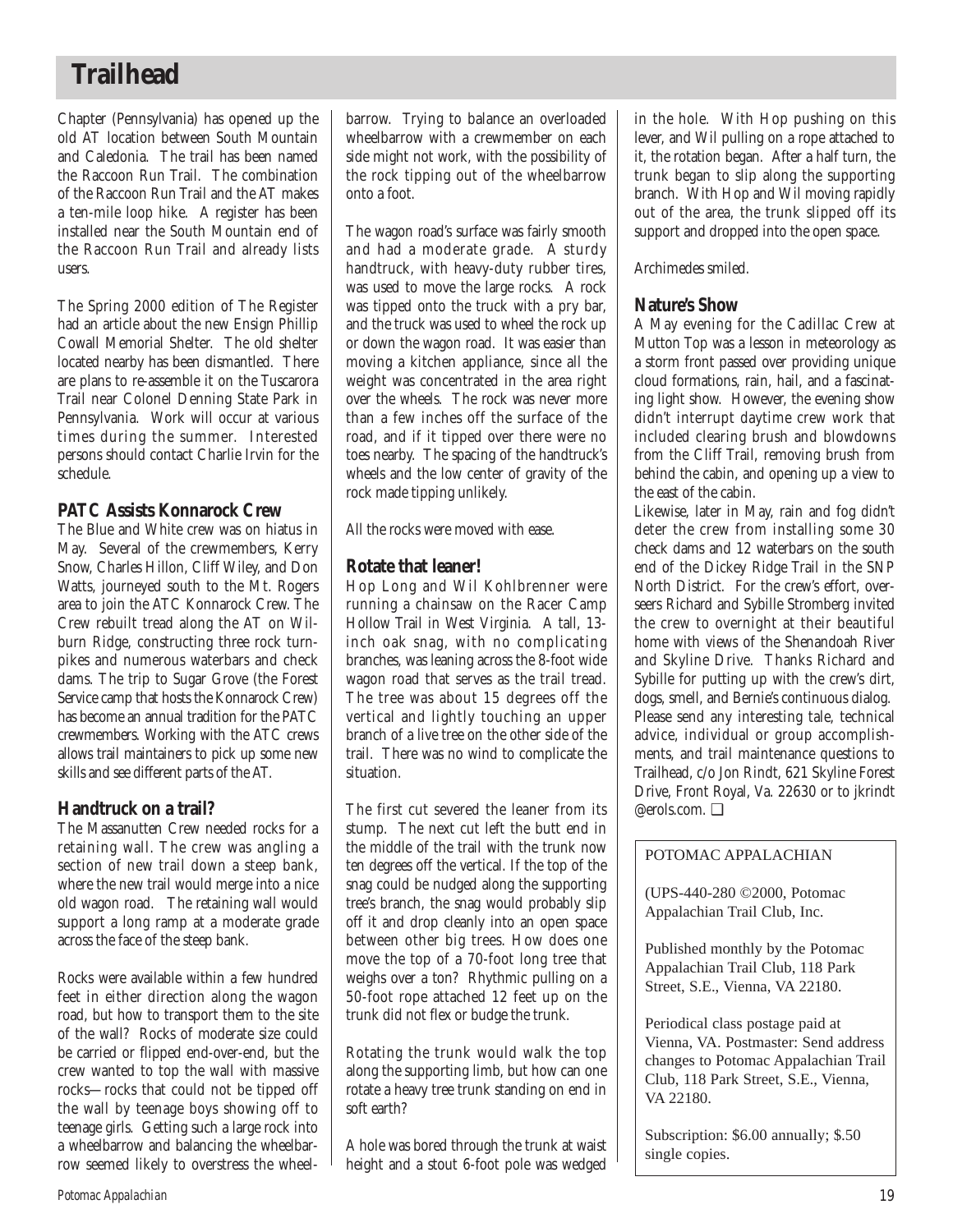## **Trailhead**

Chapter (Pennsylvania) has opened up the old AT location between South Mountain and Caledonia. The trail has been named the Raccoon Run Trail. The combination of the Raccoon Run Trail and the AT makes a ten-mile loop hike. A register has been installed near the South Mountain end of the Raccoon Run Trail and already lists users.

The Spring 2000 edition of The Register had an article about the new Ensign Phillip Cowall Memorial Shelter. The old shelter located nearby has been dismantled. There are plans to re-assemble it on the Tuscarora Trail near Colonel Denning State Park in Pennsylvania. Work will occur at various times during the summer. Interested persons should contact Charlie Irvin for the schedule.

### **PATC Assists Konnarock Crew**

The Blue and White crew was on hiatus in May. Several of the crewmembers, Kerry Snow, Charles Hillon, Cliff Wiley, and Don Watts, journeyed south to the Mt. Rogers area to join the ATC Konnarock Crew. The Crew rebuilt tread along the AT on Wilburn Ridge, constructing three rock turnpikes and numerous waterbars and check dams. The trip to Sugar Grove (the Forest Service camp that hosts the Konnarock Crew) has become an annual tradition for the PATC crewmembers. Working with the ATC crews allows trail maintainers to pick up some new skills and see different parts of the AT.

### **Handtruck on a trail?**

The Massanutten Crew needed rocks for a retaining wall. The crew was angling a section of new trail down a steep bank, where the new trail would merge into a nice old wagon road. The retaining wall would support a long ramp at a moderate grade across the face of the steep bank.

Rocks were available within a few hundred feet in either direction along the wagon road, but how to transport them to the site of the wall? Rocks of moderate size could be carried or flipped end-over-end, but the crew wanted to top the wall with massive rocks—rocks that could not be tipped off the wall by teenage boys showing off to teenage girls. Getting such a large rock into a wheelbarrow and balancing the wheelbarrow seemed likely to overstress the wheelbarrow. Trying to balance an overloaded wheelbarrow with a crewmember on each side might not work, with the possibility of the rock tipping out of the wheelbarrow onto a foot.

The wagon road's surface was fairly smooth and had a moderate grade. A sturdy handtruck, with heavy-duty rubber tires, was used to move the large rocks. A rock was tipped onto the truck with a pry bar, and the truck was used to wheel the rock up or down the wagon road. It was easier than moving a kitchen appliance, since all the weight was concentrated in the area right over the wheels. The rock was never more than a few inches off the surface of the road, and if it tipped over there were no toes nearby. The spacing of the handtruck's wheels and the low center of gravity of the rock made tipping unlikely.

All the rocks were moved with ease.

### **Rotate that leaner!**

Hop Long and Wil Kohlbrenner were running a chainsaw on the Racer Camp Hollow Trail in West Virginia. A tall, 13 inch oak snag, with no complicating branches, was leaning across the 8-foot wide wagon road that serves as the trail tread. The tree was about 15 degrees off the vertical and lightly touching an upper branch of a live tree on the other side of the trail. There was no wind to complicate the situation.

The first cut severed the leaner from its stump. The next cut left the butt end in the middle of the trail with the trunk now ten degrees off the vertical. If the top of the snag could be nudged along the supporting tree's branch, the snag would probably slip off it and drop cleanly into an open space between other big trees. How does one move the top of a 70-foot long tree that weighs over a ton? Rhythmic pulling on a 50-foot rope attached 12 feet up on the trunk did not flex or budge the trunk.

Rotating the trunk would walk the top along the supporting limb, but how can one rotate a heavy tree trunk standing on end in soft earth?

A hole was bored through the trunk at waist height and a stout 6-foot pole was wedged

in the hole. With Hop pushing on this lever, and Wil pulling on a rope attached to it, the rotation began. After a half turn, the trunk began to slip along the supporting branch. With Hop and Wil moving rapidly out of the area, the trunk slipped off its support and dropped into the open space.

Archimedes smiled.

### **Nature's Show**

A May evening for the Cadillac Crew at Mutton Top was a lesson in meteorology as a storm front passed over providing unique cloud formations, rain, hail, and a fascinating light show. However, the evening show didn't interrupt daytime crew work that included clearing brush and blowdowns from the Cliff Trail, removing brush from behind the cabin, and opening up a view to the east of the cabin.

Likewise, later in May, rain and fog didn't deter the crew from installing some 30 check dams and 12 waterbars on the south end of the Dickey Ridge Trail in the SNP North District. For the crew's effort, overseers Richard and Sybille Stromberg invited the crew to overnight at their beautiful home with views of the Shenandoah River and Skyline Drive. Thanks Richard and Sybille for putting up with the crew's dirt, dogs, smell, and Bernie's continuous dialog. Please send any interesting tale, technical advice, individual or group accomplishments, and trail maintenance questions to Trailhead, c/o Jon Rindt, 621 Skyline Forest Drive, Front Royal, Va. 22630 or to jkrindt @erols.com. ❑

### POTOMAC APPALACHIAN

(UPS-440-280 ©2000, Potomac Appalachian Trail Club, Inc.

Published monthly by the Potomac Appalachian Trail Club, 118 Park Street, S.E., Vienna, VA 22180.

Periodical class postage paid at Vienna, VA. Postmaster: Send address changes to Potomac Appalachian Trail Club, 118 Park Street, S.E., Vienna, VA 22180.

Subscription: \$6.00 annually; \$.50 single copies.